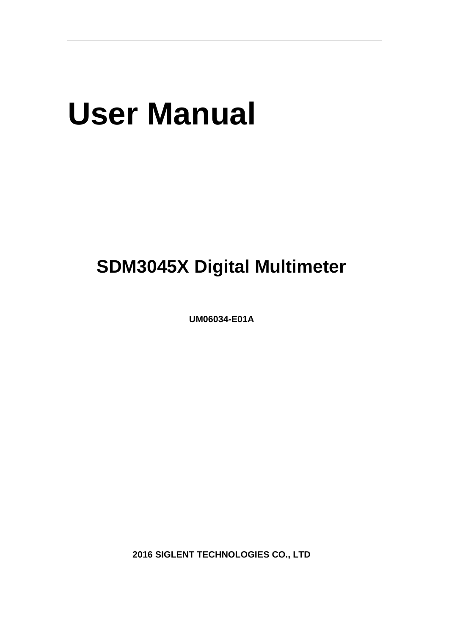# **User Manual**

# **SDM3045X Digital Multimeter**

**UM06034-E01A**

**2016 SIGLENT TECHNOLOGIES CO., LTD**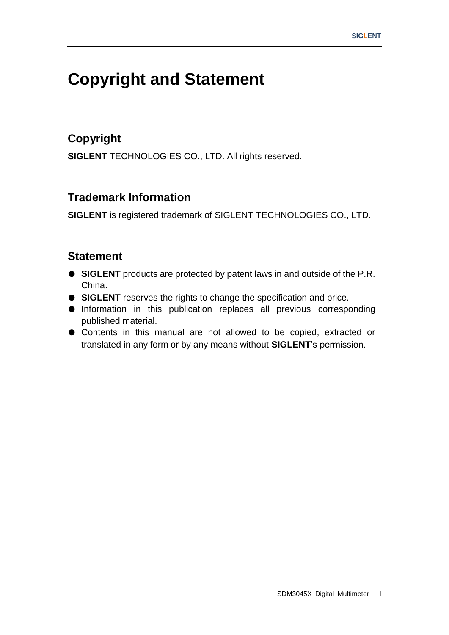# <span id="page-2-0"></span>**Copyright and Statement**

#### **Copyright**

**SIGLENT** TECHNOLOGIES CO., LTD. All rights reserved.

#### **Trademark Information**

**SIGLENT** is registered trademark of SIGLENT TECHNOLOGIES CO., LTD.

#### **Statement**

- **SIGLENT** products are protected by patent laws in and outside of the P.R. China.
- **SIGLENT** reserves the rights to change the specification and price.
- Information in this publication replaces all previous corresponding published material.
- Contents in this manual are not allowed to be copied, extracted or translated in any form or by any means without **SIGLENT**"s permission.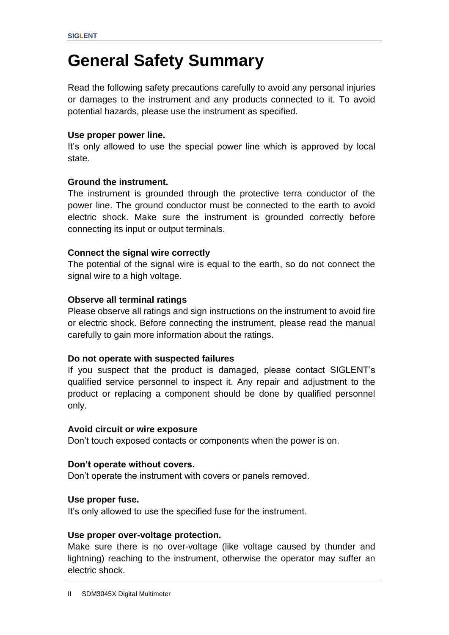# <span id="page-3-0"></span>**General Safety Summary**

Read the following safety precautions carefully to avoid any personal injuries or damages to the instrument and any products connected to it. To avoid potential hazards, please use the instrument as specified.

#### **Use proper power line.**

It's only allowed to use the special power line which is approved by local state.

#### **Ground the instrument.**

The instrument is grounded through the protective terra conductor of the power line. The ground conductor must be connected to the earth to avoid electric shock. Make sure the instrument is grounded correctly before connecting its input or output terminals.

#### **Connect the signal wire correctly**

The potential of the signal wire is equal to the earth, so do not connect the signal wire to a high voltage.

#### **Observe all terminal ratings**

Please observe all ratings and sign instructions on the instrument to avoid fire or electric shock. Before connecting the instrument, please read the manual carefully to gain more information about the ratings.

#### **Do not operate with suspected failures**

If you suspect that the product is damaged, please contact SIGLENT"s qualified service personnel to inspect it. Any repair and adjustment to the product or replacing a component should be done by qualified personnel only.

#### **Avoid circuit or wire exposure**

Don"t touch exposed contacts or components when the power is on.

#### **Don't operate without covers.**

Don"t operate the instrument with covers or panels removed.

#### **Use proper fuse.**

It's only allowed to use the specified fuse for the instrument.

#### **Use proper over-voltage protection.**

Make sure there is no over-voltage (like voltage caused by thunder and lightning) reaching to the instrument, otherwise the operator may suffer an electric shock.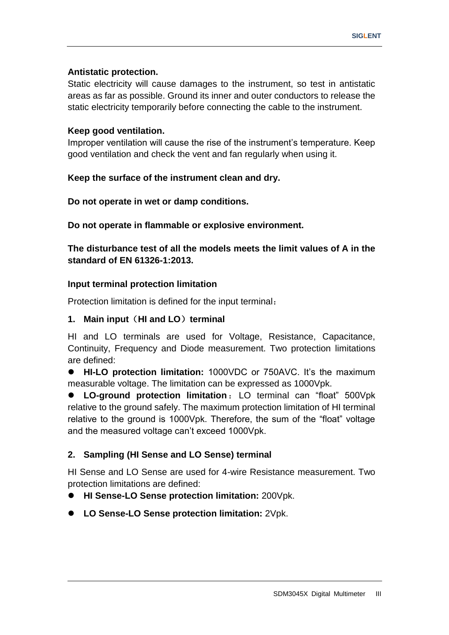#### **Antistatic protection.**

Static electricity will cause damages to the instrument, so test in antistatic areas as far as possible. Ground its inner and outer conductors to release the static electricity temporarily before connecting the cable to the instrument.

#### **Keep good ventilation.**

Improper ventilation will cause the rise of the instrument"s temperature. Keep good ventilation and check the vent and fan regularly when using it.

#### **Keep the surface of the instrument clean and dry.**

**Do not operate in wet or damp conditions.**

**Do not operate in flammable or explosive environment.**

**The disturbance test of all the models meets the limit values of A in the standard of EN 61326-1:2013.**

#### **Input terminal protection limitation**

Protection limitation is defined for the input terminal:

#### **1. Main input**(**HI and LO**)**terminal**

HI and LO terminals are used for Voltage, Resistance, Capacitance, Continuity, Frequency and Diode measurement. Two protection limitations are defined:

**HI-LO protection limitation:** 1000VDC or 750AVC. It's the maximum measurable voltage. The limitation can be expressed as 1000Vpk.

 **LO-ground protection limitation**:LO terminal can "float" 500Vpk relative to the ground safely. The maximum protection limitation of HI terminal relative to the ground is 1000Vpk. Therefore, the sum of the "float" voltage and the measured voltage can't exceed 1000Vpk.

#### **2. Sampling (HI Sense and LO Sense) terminal**

HI Sense and LO Sense are used for 4-wire Resistance measurement. Two protection limitations are defined:

**HI Sense-LO Sense protection limitation:** 200Vpk.

**LO Sense-LO Sense protection limitation:** 2Vpk.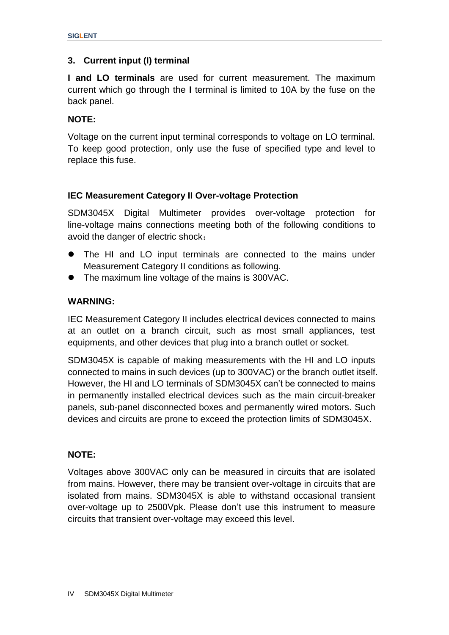#### **3. Current input (I) terminal**

**I and LO terminals** are used for current measurement. The maximum current which go through the **I** terminal is limited to 10A by the fuse on the back panel.

#### **NOTE:**

Voltage on the current input terminal corresponds to voltage on LO terminal. To keep good protection, only use the fuse of specified type and level to replace this fuse.

#### **IEC Measurement Category II Over-voltage Protection**

SDM3045X Digital Multimeter provides over-voltage protection for line-voltage mains connections meeting both of the following conditions to avoid the danger of electric shock:

- The HI and LO input terminals are connected to the mains under Measurement Category II conditions as following.
- The maximum line voltage of the mains is 300VAC.

#### **WARNING:**

IEC Measurement Category II includes electrical devices connected to mains at an outlet on a branch circuit, such as most small appliances, test equipments, and other devices that plug into a branch outlet or socket.

SDM3045X is capable of making measurements with the HI and LO inputs connected to mains in such devices (up to 300VAC) or the branch outlet itself. However, the HI and LO terminals of SDM3045X can't be connected to mains in permanently installed electrical devices such as the main circuit-breaker panels, sub-panel disconnected boxes and permanently wired motors. Such devices and circuits are prone to exceed the protection limits of SDM3045X.

#### **NOTE:**

Voltages above 300VAC only can be measured in circuits that are isolated from mains. However, there may be transient over-voltage in circuits that are isolated from mains. SDM3045X is able to withstand occasional transient over-voltage up to 2500Vpk. Please don"t use this instrument to measure circuits that transient over-voltage may exceed this level.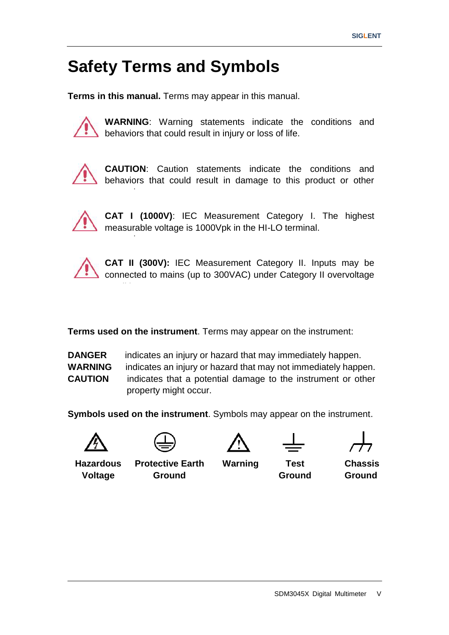# <span id="page-6-0"></span>**Safety Terms and Symbols**

**Terms in this manual.** Terms may appear in this manual.



**WARNING**: Warning statements indicate the conditions and behaviors that could result in injury or loss of life.



properties.

properties.

conditions.<br>...

**CAUTION**: Caution statements indicate the conditions and behaviors that could result in damage to this product or other



**CAT I (1000V)**: IEC Measurement Category I. The highest measurable voltage is 1000Vpk in the HI-LO terminal.



**CAT II (300V):** IEC Measurement Category II. Inputs may be connected to mains (up to 300VAC) under Category II overvoltage

**Terms used on the instrument**. Terms may appear on the instrument:

**DANGER** indicates an injury or hazard that may immediately happen. **WARNING** indicates an injury or hazard that may not immediately happen. **CAUTION** indicates that a potential damage to the instrument or other property might occur.

**Symbols used on the instrument**. Symbols may appear on the instrument.







**Hazardous Voltage**

**Protective Earth Ground**

**Warning Test Ground**

**Chassis Ground**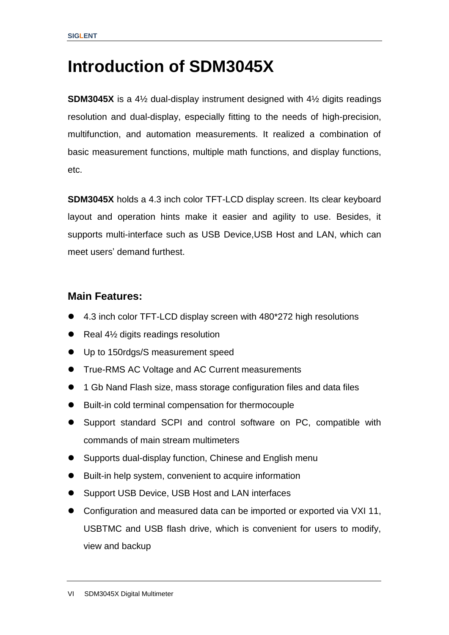# <span id="page-7-0"></span>**Introduction of SDM3045X**

**SDM3045X** is a 4½ dual-display instrument designed with 4½ digits readings resolution and dual-display, especially fitting to the needs of high-precision, multifunction, and automation measurements. It realized a combination of basic measurement functions, multiple math functions, and display functions, etc.

**SDM3045X** holds a 4.3 inch color TFT-LCD display screen. Its clear keyboard layout and operation hints make it easier and agility to use. Besides, it supports multi-interface such as USB Device,USB Host and LAN, which can meet users" demand furthest.

#### **Main Features:**

- 4.3 inch color TFT-LCD display screen with 480\*272 high resolutions
- Real 4½ digits readings resolution
- Up to 150rdgs/S measurement speed
- **True-RMS AC Voltage and AC Current measurements**
- 1 Gb Nand Flash size, mass storage configuration files and data files
- Built-in cold terminal compensation for thermocouple
- Support standard SCPI and control software on PC, compatible with commands of main stream multimeters
- Supports dual-display function, Chinese and English menu
- Built-in help system, convenient to acquire information
- Support USB Device, USB Host and LAN interfaces
- Configuration and measured data can be imported or exported via VXI 11, USBTMC and USB flash drive, which is convenient for users to modify, view and backup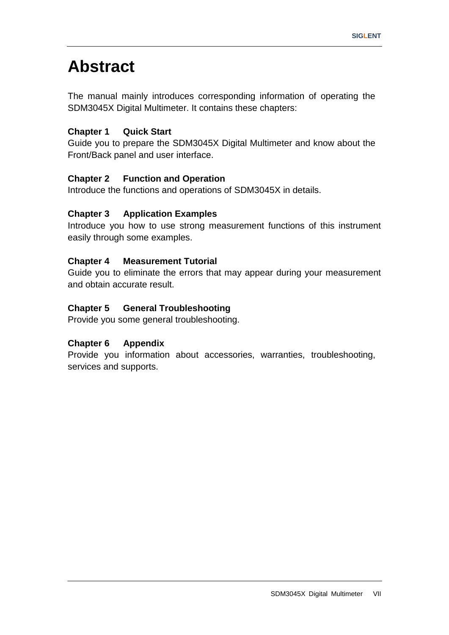# <span id="page-8-0"></span>**Abstract**

The manual mainly introduces corresponding information of operating the SDM3045X Digital Multimeter. It contains these chapters:

#### **Chapter 1 Quick Start**

Guide you to prepare the SDM3045X Digital Multimeter and know about the Front/Back panel and user interface.

#### **Chapter 2 Function and Operation**

Introduce the functions and operations of SDM3045X in details.

#### **Chapter 3 Application Examples**

Introduce you how to use strong measurement functions of this instrument easily through some examples.

#### **Chapter 4 Measurement Tutorial**

Guide you to eliminate the errors that may appear during your measurement and obtain accurate result.

#### **Chapter 5 General Troubleshooting**

Provide you some general troubleshooting.

#### **Chapter 6 Appendix**

Provide you information about accessories, warranties, troubleshooting, services and supports.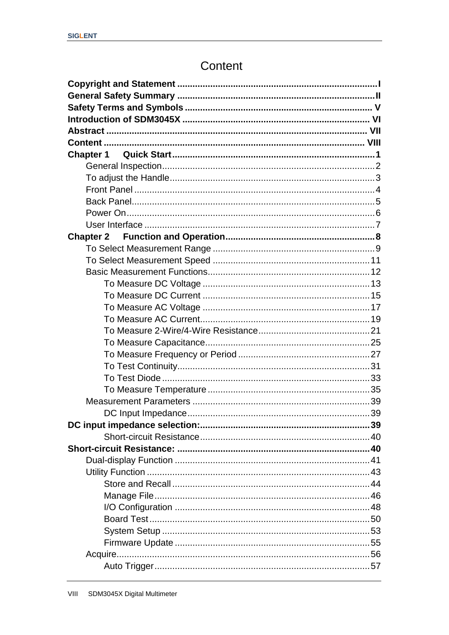# Content

<span id="page-9-0"></span>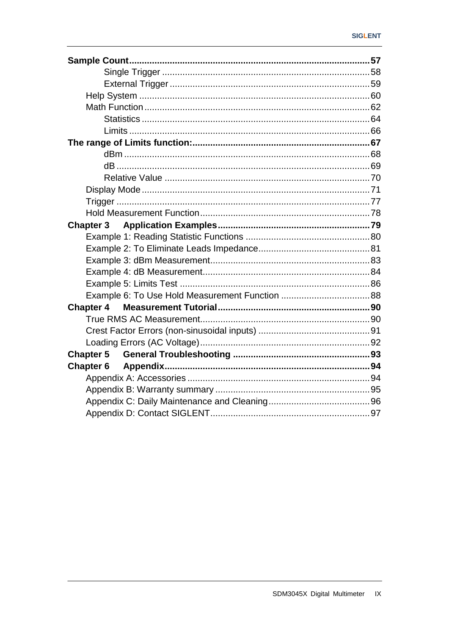| <b>Chapter 3</b> |  |
|------------------|--|
|                  |  |
|                  |  |
|                  |  |
|                  |  |
|                  |  |
|                  |  |
| <b>Chapter 4</b> |  |
|                  |  |
|                  |  |
|                  |  |
| <b>Chapter 5</b> |  |
|                  |  |
|                  |  |
|                  |  |
|                  |  |
|                  |  |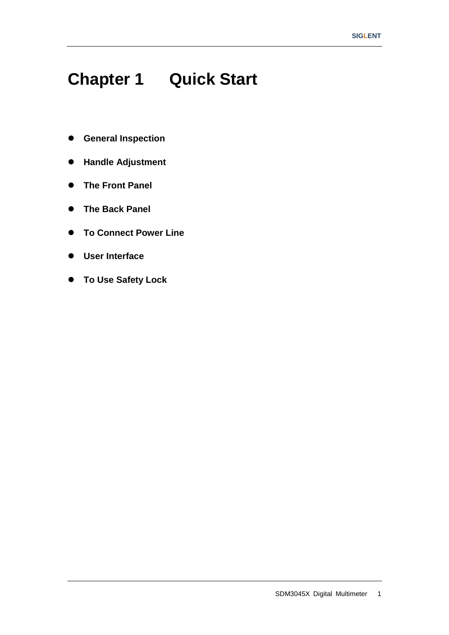# <span id="page-12-0"></span>**Chapter 1 Quick Start**

- **General Inspection**
- **Handle Adjustment**
- **The Front Panel**
- **The Back Panel**
- **To Connect Power Line**
- **User Interface**
- **To Use Safety Lock**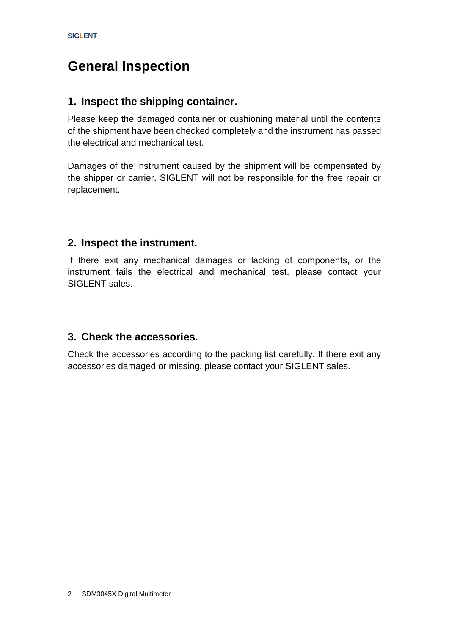# <span id="page-13-0"></span>**General Inspection**

#### **1. Inspect the shipping container.**

Please keep the damaged container or cushioning material until the contents of the shipment have been checked completely and the instrument has passed the electrical and mechanical test.

Damages of the instrument caused by the shipment will be compensated by the shipper or carrier. SIGLENT will not be responsible for the free repair or replacement.

#### **2. Inspect the instrument.**

If there exit any mechanical damages or lacking of components, or the instrument fails the electrical and mechanical test, please contact your SIGLENT sales.

#### **3. Check the accessories.**

Check the accessories according to the packing list carefully. If there exit any accessories damaged or missing, please contact your SIGLENT sales.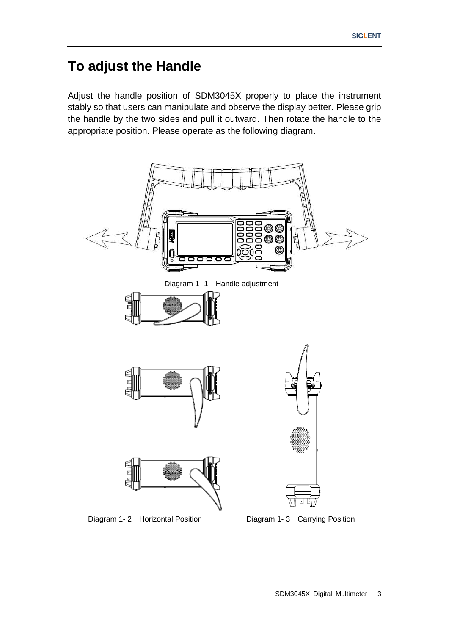# <span id="page-14-0"></span>**To adjust the Handle**

Adjust the handle position of SDM3045X properly to place the instrument stably so that users can manipulate and observe the display better. Please grip the handle by the two sides and pull it outward. Then rotate the handle to the appropriate position. Please operate as the following diagram.



Diagram 1- 2 Horizontal Position Diagram 1- 3 Carrying Position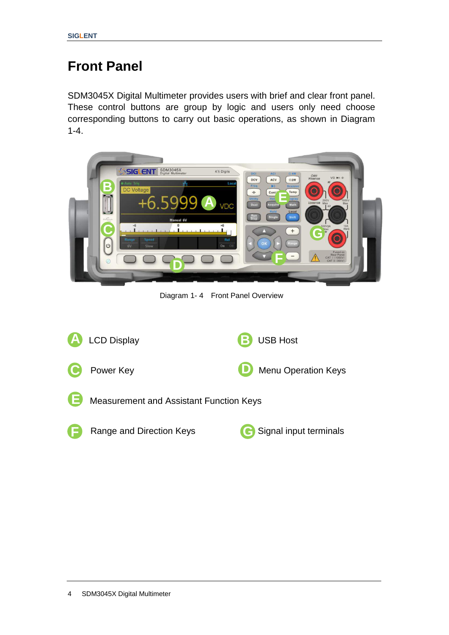# <span id="page-15-0"></span>**Front Panel**

SDM3045X Digital Multimeter provides users with brief and clear front panel. These control buttons are group by logic and users only need choose corresponding buttons to carry out basic operations, as shown in Diagram 1-4.



Diagram 1- 4 Front Panel Overview

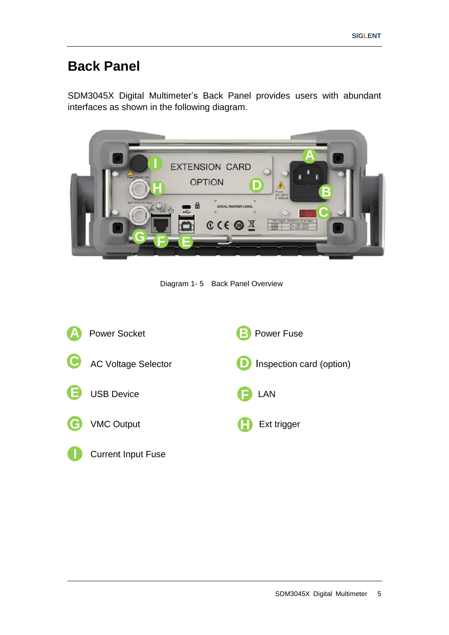# <span id="page-16-0"></span>**Back Panel**

SDM3045X Digital Multimeter"s Back Panel provides users with abundant interfaces as shown in the following diagram.



Diagram 1- 5 Back Panel Overview

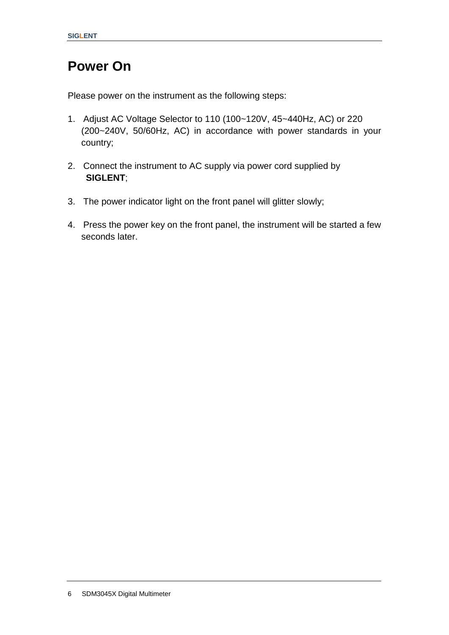# <span id="page-17-0"></span>**Power On**

Please power on the instrument as the following steps:

- 1. Adjust AC Voltage Selector to 110 (100~120V, 45~440Hz, AC) or 220 (200~240V, 50/60Hz, AC) in accordance with power standards in your country;
- 2. Connect the instrument to AC supply via power cord supplied by **SIGLENT**;
- 3. The power indicator light on the front panel will glitter slowly;
- 4. Press the power key on the front panel, the instrument will be started a few seconds later.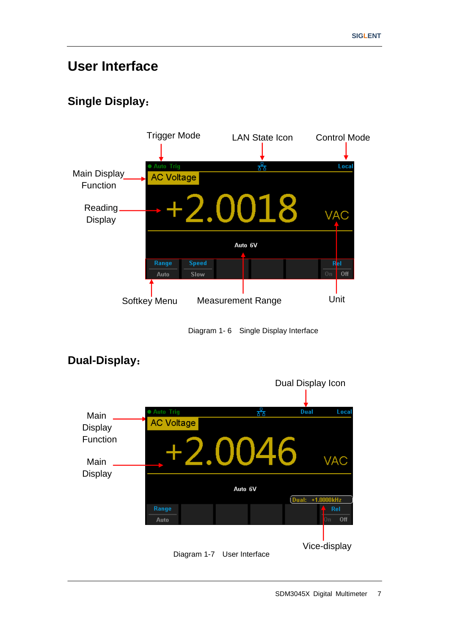# <span id="page-18-0"></span>**User Interface**

### **Single Display**:



Diagram 1- 6 Single Display Interface



### **Dual-Display**: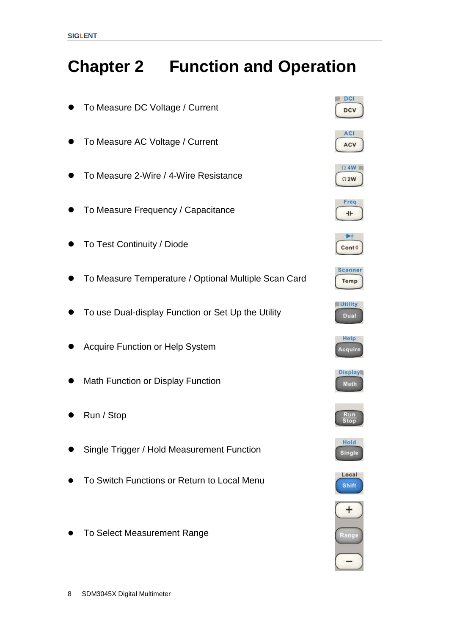# <span id="page-19-0"></span>**Chapter 2 Function and Operation**

- To Measure DC Voltage / Current
- To Measure AC Voltage / Current
- To Measure 2-Wire / 4-Wire Resistance
- To Measure Frequency / Capacitance
- To Test Continuity / Diode
- To Measure Temperature / Optional Multiple Scan Card
- To use Dual-display Function or Set Up the Utility
- Acquire Function or Help System
- Math Function or Display Function
- Run / Stop
- Single Trigger / Hold Measurement Function
- To Switch Functions or Return to Local Menu
- **•** To Select Measurement Range

























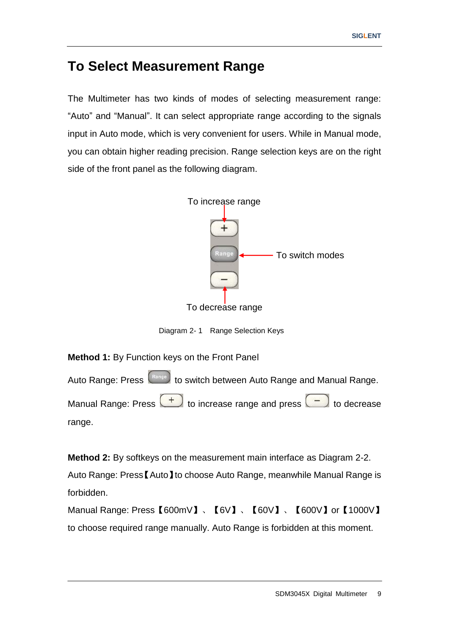## <span id="page-20-0"></span>**To Select Measurement Range**

The Multimeter has two kinds of modes of selecting measurement range: "Auto" and "Manual". It can select appropriate range according to the signals input in Auto mode, which is very convenient for users. While in Manual mode, you can obtain higher reading precision. Range selection keys are on the right side of the front panel as the following diagram.



Diagram 2- 1 Range Selection Keys

**Method 1:** By Function keys on the Front Panel

Auto Range: Press (Range) to switch between Auto Range and Manual Range. Manual Range: Press  $\begin{pmatrix} + \\ - \end{pmatrix}$  to increase range and press  $\begin{pmatrix} - \\ - \end{pmatrix}$  to decrease range.

**Method 2:** By softkeys on the measurement main interface as Diagram 2-2.

Auto Range: Press【Auto】to choose Auto Range, meanwhile Manual Range is forbidden.

Manual Range: Press【600mV】、【6V】、【60V】、【600V】or【1000V】 to choose required range manually. Auto Range is forbidden at this moment.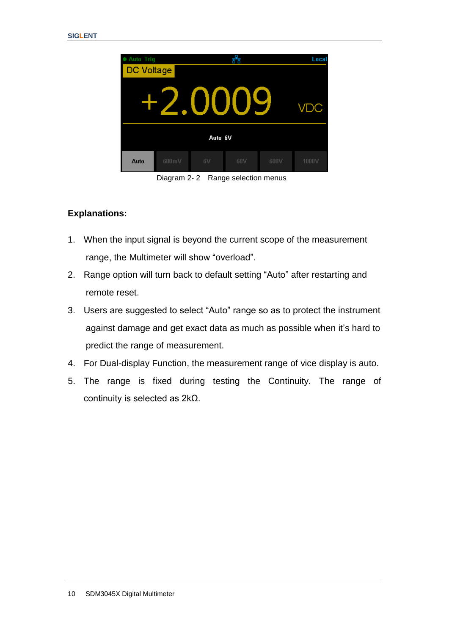

Diagram 2- 2 Range selection menus

#### **Explanations:**

- 1. When the input signal is beyond the current scope of the measurement range, the Multimeter will show "overload".
- 2. Range option will turn back to default setting "Auto" after restarting and remote reset.
- 3. Users are suggested to select "Auto" range so as to protect the instrument against damage and get exact data as much as possible when it"s hard to predict the range of measurement.
- 4. For Dual-display Function, the measurement range of vice display is auto.
- 5. The range is fixed during testing the Continuity. The range of continuity is selected as 2kΩ.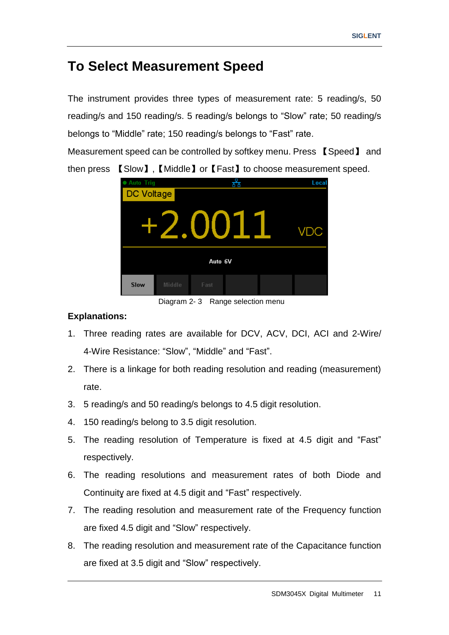## <span id="page-22-0"></span>**To Select Measurement Speed**

The instrument provides three types of measurement rate: 5 reading/s, 50 reading/s and 150 reading/s. 5 reading/s belongs to "Slow" rate; 50 reading/s belongs to "Middle" rate; 150 reading/s belongs to "Fast" rate.

Measurement speed can be controlled by softkey menu. Press 【Speed】 and then press 【Slow】,【Middle】or【Fast】to choose measurement speed.



Diagram 2- 3 Range selection menu

#### **Explanations:**

- 1. Three reading rates are available for DCV, ACV, DCI, ACI and 2-Wire/ 4-Wire Resistance: "Slow", "Middle" and "Fast".
- 2. There is a linkage for both reading resolution and reading (measurement) rate.
- 3. 5 reading/s and 50 reading/s belongs to 4.5 digit resolution.
- 4. 150 reading/s belong to 3.5 digit resolution.
- 5. The reading resolution of Temperature is fixed at 4.5 digit and "Fast" respectively.
- 6. The reading resolutions and measurement rates of both Diode and Continuity are fixed at 4.5 digit and "Fast" respectively.
- 7. The reading resolution and measurement rate of the Frequency function are fixed 4.5 digit and "Slow" respectively.
- 8. The reading resolution and measurement rate of the Capacitance function are fixed at 3.5 digit and "Slow" respectively.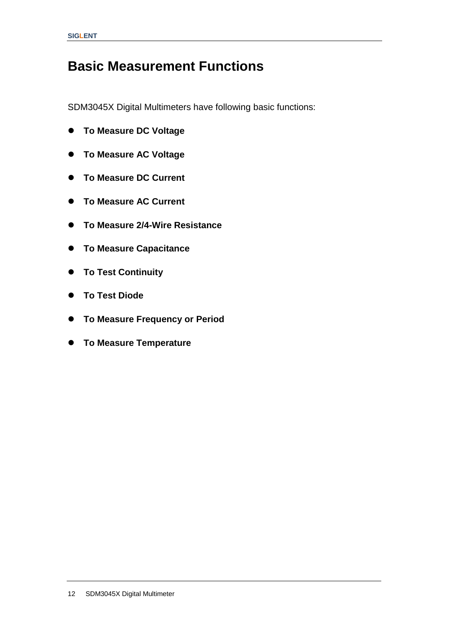# <span id="page-23-0"></span>**Basic Measurement Functions**

SDM3045X Digital Multimeters have following basic functions:

- **To Measure DC Voltage**
- **To Measure AC Voltage**
- **To Measure DC Current**
- **To Measure AC Current**
- **To Measure 2/4-Wire Resistance**
- **To Measure Capacitance**
- **To Test Continuity**
- **To Test Diode**
- **To Measure Frequency or Period**
- **To Measure Temperature**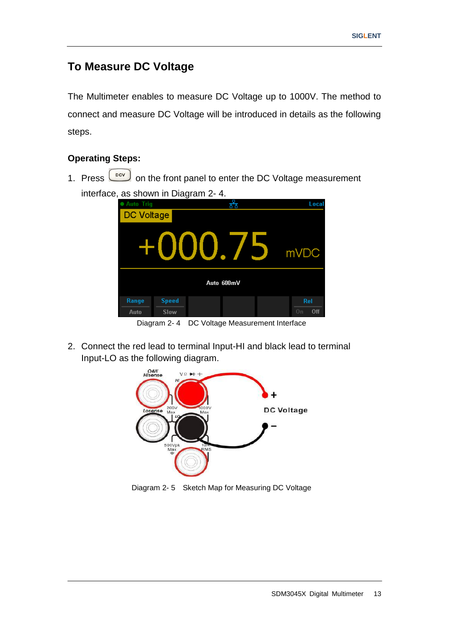### <span id="page-24-0"></span>**To Measure DC Voltage**

The Multimeter enables to measure DC Voltage up to 1000V. The method to connect and measure DC Voltage will be introduced in details as the following steps.

#### **Operating Steps:**

1. Press  $\boxed{\phantom{000}^{\text{bcv}}}$  on the front panel to enter the DC Voltage measurement interface, as shown in Diagram 2- 4.



Diagram 2- 4 DC Voltage Measurement Interface

2. Connect the red lead to terminal Input-HI and black lead to terminal Input-LO as the following diagram.



Diagram 2- 5 Sketch Map for Measuring DC Voltage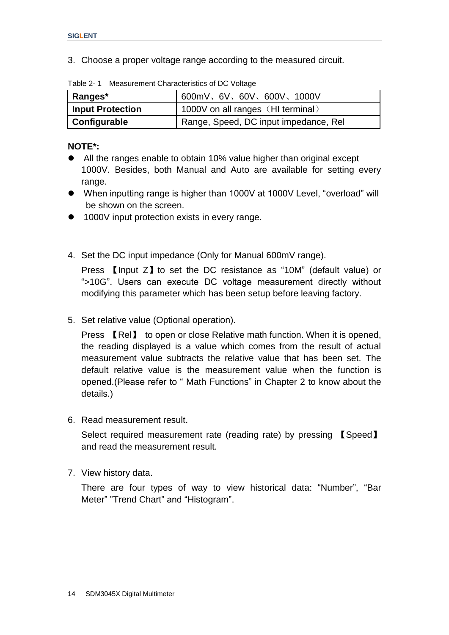3. Choose a proper voltage range according to the measured circuit.

| Ranges*                 | 600mV、6V、60V、600V、1000V               |
|-------------------------|---------------------------------------|
| <b>Input Protection</b> | 1000V on all ranges (HI terminal)     |
| Configurable            | Range, Speed, DC input impedance, Rel |

Table 2- 1 Measurement Characteristics of DC Voltage

#### **NOTE\*:**

- All the ranges enable to obtain 10% value higher than original except 1000V. Besides, both Manual and Auto are available for setting every range.
- When inputting range is higher than 1000V at 1000V Level, "overload" will be shown on the screen.
- 1000V input protection exists in every range.
- 4. Set the DC input impedance (Only for Manual 600mV range).

Press 【Input Z】to set the DC resistance as "10M" (default value) or ">10G". Users can execute DC voltage measurement directly without modifying this parameter which has been setup before leaving factory.

5. Set relative value (Optional operation).

Press 【Rel】 to open or close Relative math function. When it is opened, the reading displayed is a value which comes from the result of actual measurement value subtracts the relative value that has been set. The default relative value is the measurement value when the function is opened.(Please refer to " Math Functions" in Chapter 2 to know about the details.)

6. Read measurement result.

Select required measurement rate (reading rate) by pressing 【Speed】 and read the measurement result.

7. View history data.

There are four types of way to view historical data: "Number", "Bar Meter" "Trend Chart" and "Histogram".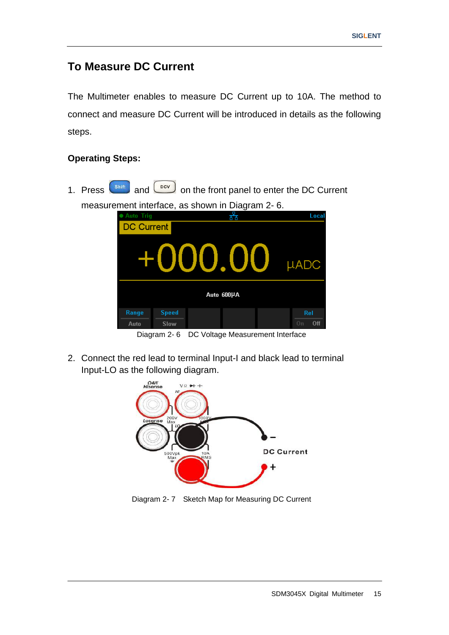### <span id="page-26-0"></span>**To Measure DC Current**

The Multimeter enables to measure DC Current up to 10A. The method to connect and measure DC Current will be introduced in details as the following steps.

#### **Operating Steps:**

1. Press  $\begin{bmatrix} \sinh \end{bmatrix}$  and  $\begin{bmatrix} \frac{pCV}{r} \end{bmatrix}$  on the front panel to enter the DC Current measurement interface, as shown in Diagram 2- 6. Auto Trig Local <u>र्हुह</u>



Diagram 2- 6 DC Voltage Measurement Interface

2. Connect the red lead to terminal Input-I and black lead to terminal Input-LO as the following diagram.



Diagram 2- 7 Sketch Map for Measuring DC Current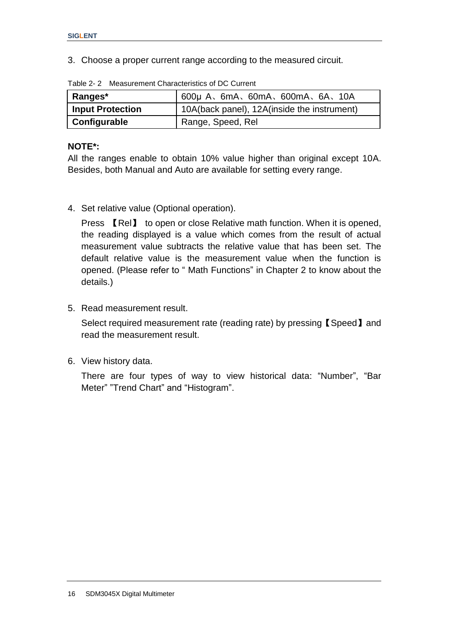3. Choose a proper current range according to the measured circuit.

| Ranges*                 | $600\mu$ A, $6mA$ , $60mA$ , $600mA$ , $6A$ , $10A$ |
|-------------------------|-----------------------------------------------------|
| <b>Input Protection</b> | 10A(back panel), 12A(inside the instrument)         |
| Configurable            | Range, Speed, Rel                                   |

Table 2- 2 Measurement Characteristics of DC Current

#### **NOTE\*:**

All the ranges enable to obtain 10% value higher than original except 10A. Besides, both Manual and Auto are available for setting every range.

4. Set relative value (Optional operation).

Press 【Rel】 to open or close Relative math function. When it is opened, the reading displayed is a value which comes from the result of actual measurement value subtracts the relative value that has been set. The default relative value is the measurement value when the function is opened. (Please refer to " Math Functions" in Chapter 2 to know about the details.)

5. Read measurement result.

Select required measurement rate (reading rate) by pressing【Speed】and read the measurement result.

6. View history data.

There are four types of way to view historical data: "Number", "Bar Meter" "Trend Chart" and "Histogram".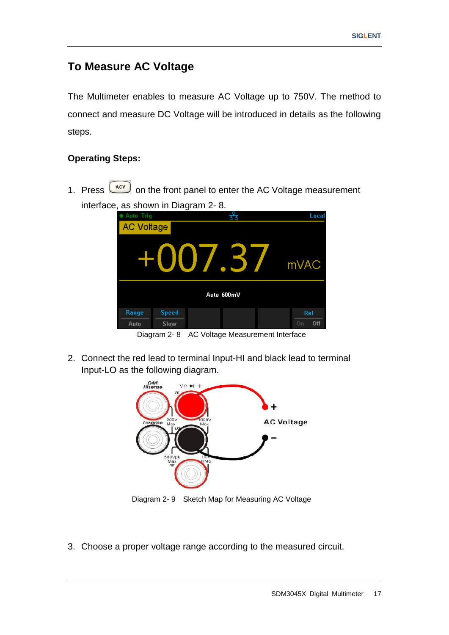### <span id="page-28-0"></span>**To Measure AC Voltage**

The Multimeter enables to measure AC Voltage up to 750V. The method to connect and measure DC Voltage will be introduced in details as the following steps.

#### **Operating Steps:**

1. Press  $\left( \frac{ACV}{ACV} \right)$  on the front panel to enter the AC Voltage measurement interface, as shown in Diagram 2- 8.

| ,<br><b>Auto Trig</b> |              | ັ      | ਨੀਨ        | Local     |
|-----------------------|--------------|--------|------------|-----------|
| <b>AC Voltage</b>     |              |        |            |           |
|                       | HON          | J / .3 |            | mVAC      |
|                       |              |        | Auto 600mV |           |
| Range                 | <b>Speed</b> |        |            | Rel       |
| Auto                  | Slow         |        |            | 0n<br>0ff |

Diagram 2- 8 AC Voltage Measurement Interface

2. Connect the red lead to terminal Input-HI and black lead to terminal Input-LO as the following diagram.



Diagram 2- 9 Sketch Map for Measuring AC Voltage

3. Choose a proper voltage range according to the measured circuit.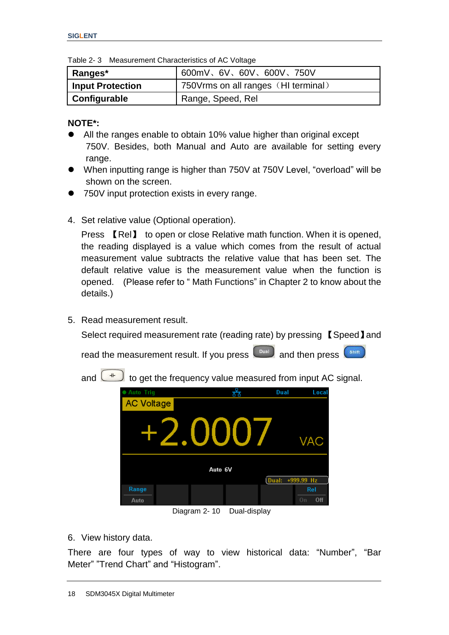Table 2- 3 Measurement Characteristics of AC Voltage

| Ranges*                 | 600mV、6V、60V、600V、750V               |
|-------------------------|--------------------------------------|
| <b>Input Protection</b> | 750 Vrms on all ranges (HI terminal) |
| Configurable            | Range, Speed, Rel                    |

**NOTE\*:**

- All the ranges enable to obtain 10% value higher than original except 750V. Besides, both Manual and Auto are available for setting every range.
- When inputting range is higher than 750V at 750V Level, "overload" will be shown on the screen.
- 750V input protection exists in every range.
- 4. Set relative value (Optional operation).

Press 【Rel】 to open or close Relative math function. When it is opened, the reading displayed is a value which comes from the result of actual measurement value subtracts the relative value that has been set. The default relative value is the measurement value when the function is opened. (Please refer to " Math Functions" in Chapter 2 to know about the details.)

5. Read measurement result.

Select required measurement rate (reading rate) by pressing 【Speed】and

read the measurement result. If you press  $\begin{bmatrix} 0 & 0 \\ 0 & 1 \end{bmatrix}$  and then press Shift

and  $\Box$  to get the frequency value measured from input AC signal.



Diagram 2- 10 Dual-display

6. View history data.

There are four types of way to view historical data: "Number", "Bar Meter" "Trend Chart" and "Histogram".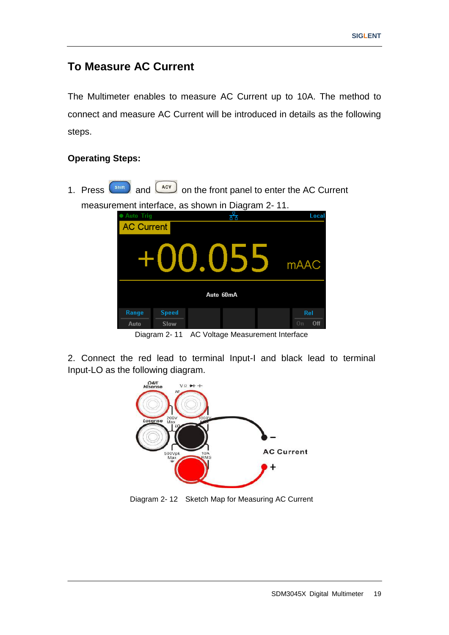### <span id="page-30-0"></span>**To Measure AC Current**

The Multimeter enables to measure AC Current up to 10A. The method to connect and measure AC Current will be introduced in details as the following steps.

#### **Operating Steps:**

1. Press  $\begin{pmatrix} \sinh \end{pmatrix}$  and  $\begin{pmatrix} \frac{ACV}{A} \end{pmatrix}$  on the front panel to enter the AC Current measurement interface, as shown in Diagram 2- 11. Auto Trig Local <u>र्होड</u>



Diagram 2- 11 AC Voltage Measurement Interface

2. Connect the red lead to terminal Input-I and black lead to terminal Input-LO as the following diagram.



Diagram 2- 12 Sketch Map for Measuring AC Current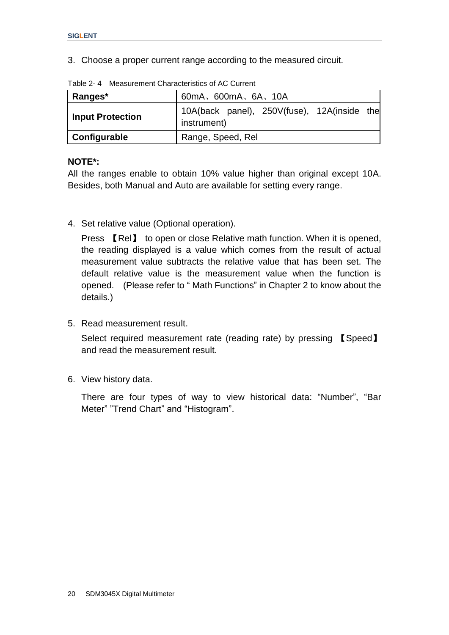3. Choose a proper current range according to the measured circuit.

| Ranges*                 | 60mA、600mA、6A、10A                                          |  |  |
|-------------------------|------------------------------------------------------------|--|--|
| <b>Input Protection</b> | 10A(back panel), 250V(fuse), 12A(inside the<br>instrument) |  |  |
| Configurable            | Range, Speed, Rel                                          |  |  |

Table 2- 4 Measurement Characteristics of AC Current

#### **NOTE\*:**

All the ranges enable to obtain 10% value higher than original except 10A. Besides, both Manual and Auto are available for setting every range.

4. Set relative value (Optional operation).

Press 【Rel】 to open or close Relative math function. When it is opened, the reading displayed is a value which comes from the result of actual measurement value subtracts the relative value that has been set. The default relative value is the measurement value when the function is opened. (Please refer to " Math Functions" in Chapter 2 to know about the details.)

5. Read measurement result.

Select required measurement rate (reading rate) by pressing 【Speed】 and read the measurement result.

6. View history data.

There are four types of way to view historical data: "Number", "Bar Meter" "Trend Chart" and "Histogram".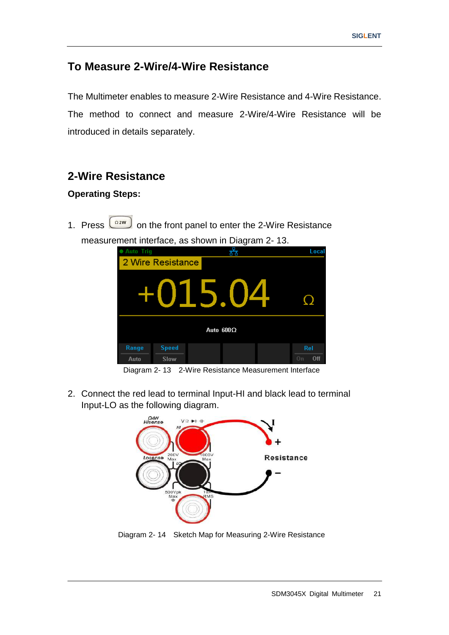### <span id="page-32-0"></span>**To Measure 2-Wire/4-Wire Resistance**

The Multimeter enables to measure 2-Wire Resistance and 4-Wire Resistance. The method to connect and measure 2-Wire/4-Wire Resistance will be introduced in details separately.

#### **2-Wire Resistance**

#### **Operating Steps:**

1. Press  $\boxed{\frac{\Omega 2W}{\Omega}}$  on the front panel to enter the 2-Wire Resistance measurement interface, as shown in Diagram 2- 13.

| ● Auto Trig |                   |   | ت -<br>66        | Local     |  |
|-------------|-------------------|---|------------------|-----------|--|
|             | 2 Wire Resistance |   |                  |           |  |
|             | HOT               | 5 |                  |           |  |
|             |                   |   | Auto $600\Omega$ |           |  |
| Range       | <b>Speed</b>      |   |                  | Rel       |  |
| Auto        | Slow              |   |                  | Off<br>0n |  |

Diagram 2- 13 2-Wire Resistance Measurement Interface

2. Connect the red lead to terminal Input-HI and black lead to terminal Input-LO as the following diagram.



Diagram 2- 14 Sketch Map for Measuring 2-Wire Resistance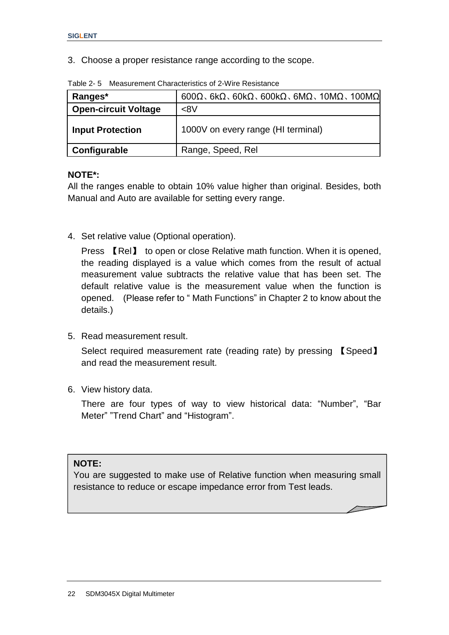3. Choose a proper resistance range according to the scope.

| Ranges*                     | $600\Omega$ , 6k $\Omega$ , 60k $\Omega$ , 600k $\Omega$ , 6M $\Omega$ , 10M $\Omega$ , 100M $\Omega$ |
|-----------------------------|-------------------------------------------------------------------------------------------------------|
| <b>Open-circuit Voltage</b> | <8V                                                                                                   |
| <b>Input Protection</b>     | 1000V on every range (HI terminal)                                                                    |
| Configurable                | Range, Speed, Rel                                                                                     |

Table 2- 5 Measurement Characteristics of 2-Wire Resistance

#### **NOTE\*:**

All the ranges enable to obtain 10% value higher than original. Besides, both Manual and Auto are available for setting every range.

4. Set relative value (Optional operation).

Press 【Rel】 to open or close Relative math function. When it is opened, the reading displayed is a value which comes from the result of actual measurement value subtracts the relative value that has been set. The default relative value is the measurement value when the function is opened. (Please refer to " Math Functions" in Chapter 2 to know about the details.)

5. Read measurement result.

Select required measurement rate (reading rate) by pressing 【Speed】 and read the measurement result.

6. View history data.

There are four types of way to view historical data: "Number", "Bar Meter" "Trend Chart" and "Histogram".

#### **NOTE:**

You are suggested to make use of Relative function when measuring small resistance to reduce or escape impedance error from Test leads.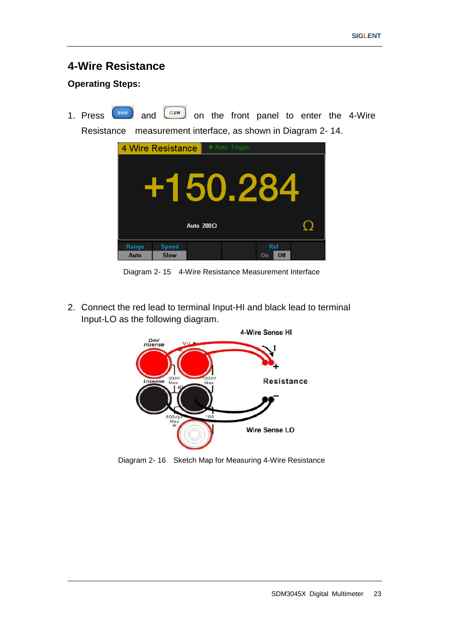#### **4-Wire Resistance**

#### **Operating Steps:**

1. Press  $\left( \sin \theta \right)$  and  $\left( \cos \theta \right)$  on the front panel to enter the 4-Wire Resistance measurement interface, as shown in Diagram 2- 14.



Diagram 2- 15 4-Wire Resistance Measurement Interface

2. Connect the red lead to terminal Input-HI and black lead to terminal Input-LO as the following diagram.



Diagram 2- 16 Sketch Map for Measuring 4-Wire Resistance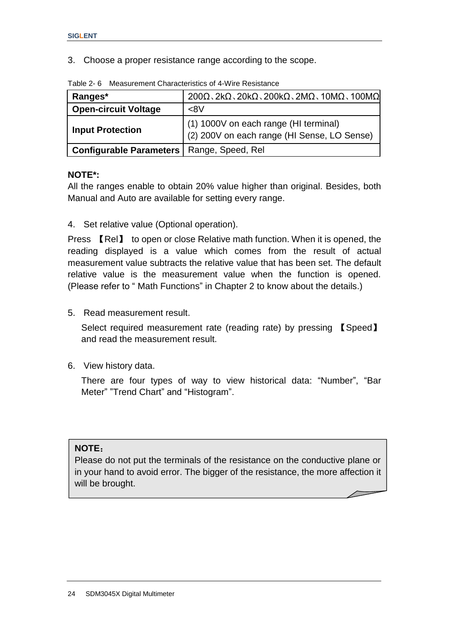3. Choose a proper resistance range according to the scope.

| Ranges*                                            | $200\Omega$ , 2k $\Omega$ , 20k $\Omega$ , 200k $\Omega$ , 2M $\Omega$ , 10M $\Omega$ , 100M $\Omega$ |  |
|----------------------------------------------------|-------------------------------------------------------------------------------------------------------|--|
| <b>Open-circuit Voltage</b>                        | <8V                                                                                                   |  |
| <b>Input Protection</b>                            | (1) 1000V on each range (HI terminal)<br>(2) 200V on each range (HI Sense, LO Sense)                  |  |
| <b>Configurable Parameters   Range, Speed, Rel</b> |                                                                                                       |  |

Table 2- 6 Measurement Characteristics of 4-Wire Resistance

#### **NOTE\*:**

All the ranges enable to obtain 20% value higher than original. Besides, both Manual and Auto are available for setting every range.

4. Set relative value (Optional operation).

Press 【Rel】 to open or close Relative math function. When it is opened, the reading displayed is a value which comes from the result of actual measurement value subtracts the relative value that has been set. The default relative value is the measurement value when the function is opened. (Please refer to " Math Functions" in Chapter 2 to know about the details.)

5. Read measurement result.

Select required measurement rate (reading rate) by pressing 【Speed】 and read the measurement result.

6. View history data.

There are four types of way to view historical data: "Number", "Bar Meter" "Trend Chart" and "Histogram".

#### **NOTE**:

Please do not put the terminals of the resistance on the conductive plane or in your hand to avoid error. The bigger of the resistance, the more affection it will be brought.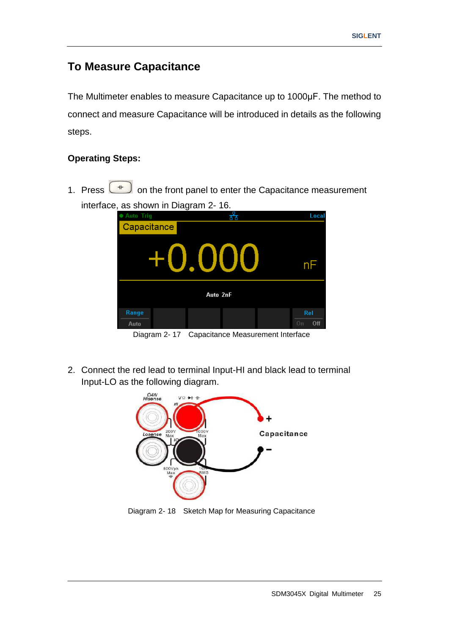# **To Measure Capacitance**

The Multimeter enables to measure Capacitance up to 1000μF. The method to connect and measure Capacitance will be introduced in details as the following steps.

#### **Operating Steps:**

1. Press  $\begin{array}{|c|c|c|}\n\hline\n\text{#} & \text{on the front panel to enter the Capacitance measurement}\n\end{array}$ interface, as shown in Diagram 2- 16.



Diagram 2- 17 Capacitance Measurement Interface

2. Connect the red lead to terminal Input-HI and black lead to terminal Input-LO as the following diagram.



Diagram 2- 18 Sketch Map for Measuring Capacitance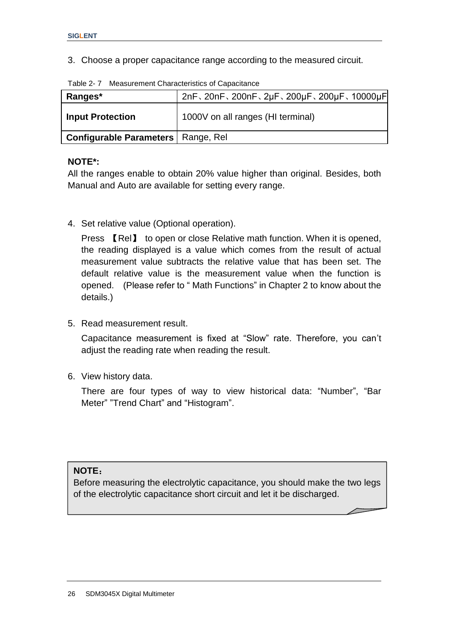3. Choose a proper capacitance range according to the measured circuit.

| $1$ abio $\pm$ 1.110 abdition to that abtonous of bapabitants |                                        |  |  |  |  |  |
|---------------------------------------------------------------|----------------------------------------|--|--|--|--|--|
| Ranges*                                                       | 2nF、20nF、200nF、2µF、200µF、200µF、10000µF |  |  |  |  |  |
| <b>Input Protection</b>                                       | 1000V on all ranges (HI terminal)      |  |  |  |  |  |
| <b>Configurable Parameters</b>   Range, Rel                   |                                        |  |  |  |  |  |

Table 2- 7 Measurement Characteristics of Capacitance

#### **NOTE\*:**

All the ranges enable to obtain 20% value higher than original. Besides, both Manual and Auto are available for setting every range.

4. Set relative value (Optional operation).

Press 【Rel】 to open or close Relative math function. When it is opened, the reading displayed is a value which comes from the result of actual measurement value subtracts the relative value that has been set. The default relative value is the measurement value when the function is opened. (Please refer to " Math Functions" in Chapter 2 to know about the details.)

5. Read measurement result.

Capacitance measurement is fixed at "Slow" rate. Therefore, you can"t adjust the reading rate when reading the result.

6. View history data.

There are four types of way to view historical data: "Number", "Bar Meter" "Trend Chart" and "Histogram".

#### **NOTE**:

Before measuring the electrolytic capacitance, you should make the two legs of the electrolytic capacitance short circuit and let it be discharged.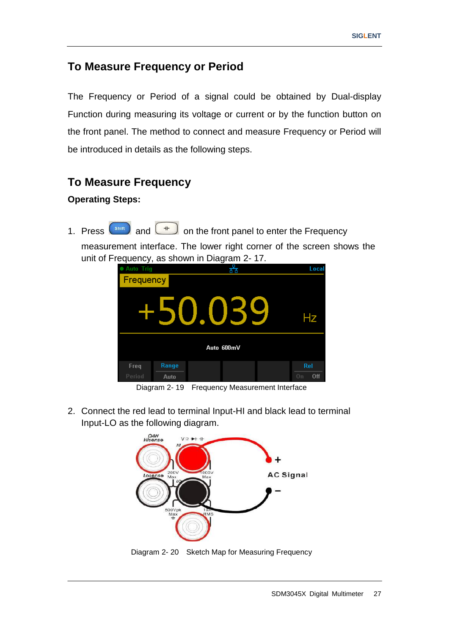# **To Measure Frequency or Period**

The Frequency or Period of a signal could be obtained by Dual-display Function during measuring its voltage or current or by the function button on the front panel. The method to connect and measure Frequency or Period will be introduced in details as the following steps.

# **To Measure Frequency**

#### **Operating Steps:**

1. Press  $\left( \frac{\sinh \theta}{\sinh \theta} \right)$  and  $\left( \frac{1}{\cosh \theta} \right)$  on the front panel to enter the Frequency

 measurement interface. The lower right corner of the screen shows the unit of Frequency, as shown in Diagram 2- 17.



Diagram 2- 19 Frequency Measurement Interface

2. Connect the red lead to terminal Input-HI and black lead to terminal Input-LO as the following diagram.



Diagram 2- 20 Sketch Map for Measuring Frequency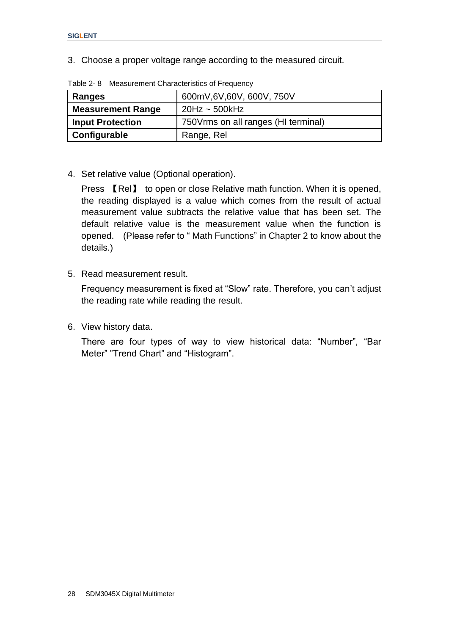3. Choose a proper voltage range according to the measured circuit.

| 600mV,6V,60V, 600V, 750V<br>Ranges |                                      |
|------------------------------------|--------------------------------------|
| <b>Measurement Range</b>           | $20$ Hz ~ 500kHz                     |
| <b>Input Protection</b>            | 750 Vrms on all ranges (HI terminal) |
| Configurable                       | Range, Rel                           |

Table 2- 8 Measurement Characteristics of Frequency

4. Set relative value (Optional operation).

Press 【Rel】 to open or close Relative math function. When it is opened, the reading displayed is a value which comes from the result of actual measurement value subtracts the relative value that has been set. The default relative value is the measurement value when the function is opened. (Please refer to " Math Functions" in Chapter 2 to know about the details.)

5. Read measurement result.

Frequency measurement is fixed at "Slow" rate. Therefore, you can"t adjust the reading rate while reading the result.

6. View history data.

There are four types of way to view historical data: "Number", "Bar Meter" "Trend Chart" and "Histogram".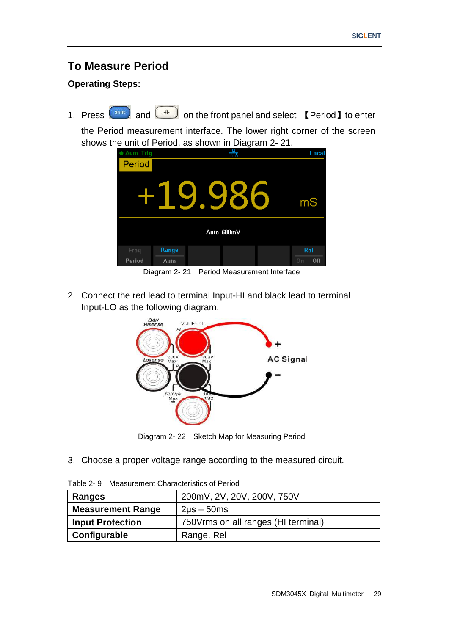# **To Measure Period**

#### **Operating Steps:**

1. Press  $\left( \frac{\sin \theta}{\cos \theta} \right)$  and  $\left( \frac{4 \theta}{\cos \theta} \right)$  on the front panel and select 【Period】to enter

the Period measurement interface. The lower right corner of the screen shows the unit of Period, as shown in Diagram 2- 21.



Diagram 2- 21 Period Measurement Interface

2. Connect the red lead to terminal Input-HI and black lead to terminal Input-LO as the following diagram.



Diagram 2- 22 Sketch Map for Measuring Period

3. Choose a proper voltage range according to the measured circuit.

Table 2- 9 Measurement Characteristics of Period

| 200mV, 2V, 20V, 200V, 750V<br>Ranges |                                      |
|--------------------------------------|--------------------------------------|
| <b>Measurement Range</b>             | $2\mu s - 50ms$                      |
| <b>Input Protection</b>              | 750 Vrms on all ranges (HI terminal) |
| Configurable                         | Range, Rel                           |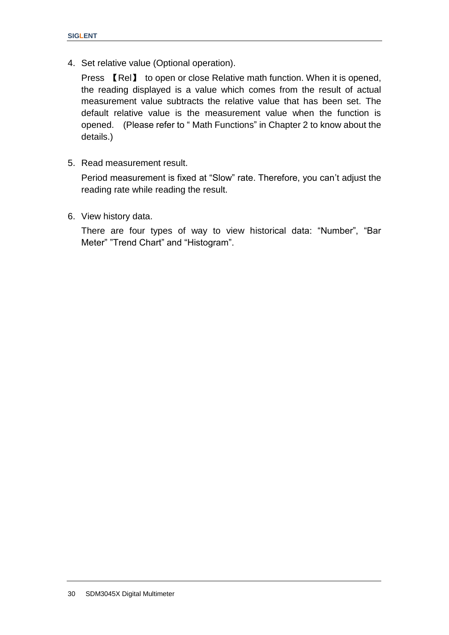4. Set relative value (Optional operation).

Press 【Rel】 to open or close Relative math function. When it is opened, the reading displayed is a value which comes from the result of actual measurement value subtracts the relative value that has been set. The default relative value is the measurement value when the function is opened. (Please refer to " Math Functions" in Chapter 2 to know about the details.)

5. Read measurement result.

Period measurement is fixed at "Slow" rate. Therefore, you can't adjust the reading rate while reading the result.

6. View history data.

There are four types of way to view historical data: "Number", "Bar Meter" "Trend Chart" and "Histogram".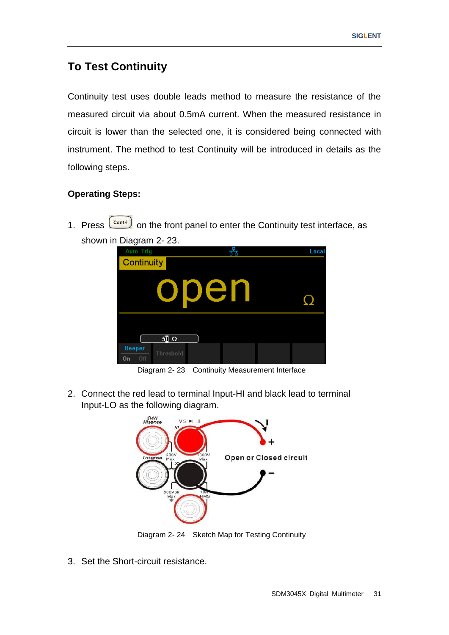# **To Test Continuity**

Continuity test uses double leads method to measure the resistance of the measured circuit via about 0.5mA current. When the measured resistance in circuit is lower than the selected one, it is considered being connected with instrument. The method to test Continuity will be introduced in details as the following steps.

#### **Operating Steps:**

1. Press  $\begin{bmatrix} \text{Cont } \mathbf{0} \\ \text{Cont } \mathbf{0} \end{bmatrix}$  on the front panel to enter the Continuity test interface, as shown in Diagram 2- 23.



Diagram 2- 23 Continuity Measurement Interface

2. Connect the red lead to terminal Input-HI and black lead to terminal Input-LO as the following diagram.



Diagram 2- 24 Sketch Map for Testing Continuity

3. Set the Short-circuit resistance.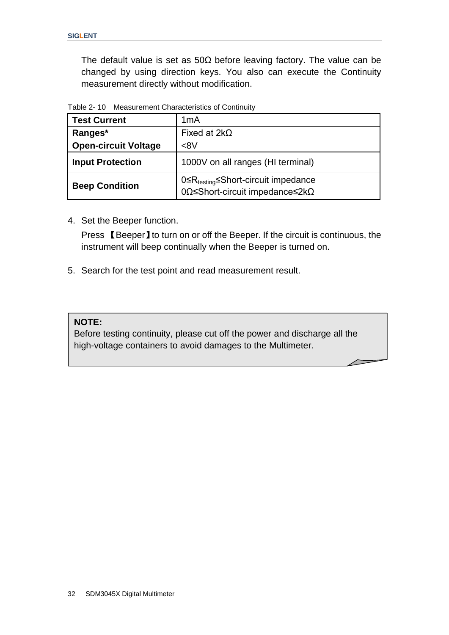The default value is set as 50Ω before leaving factory. The value can be changed by using direction keys. You also can execute the Continuity measurement directly without modification.

| <b>Test Current</b>         | 1mA                                                                                               |
|-----------------------------|---------------------------------------------------------------------------------------------------|
| Ranges*                     | Fixed at $2k\Omega$                                                                               |
| <b>Open-circuit Voltage</b> | < 8                                                                                               |
| <b>Input Protection</b>     | 1000V on all ranges (HI terminal)                                                                 |
| <b>Beep Condition</b>       | 0≤R <sub>testing</sub> ≤Short-circuit impedance<br>$0\Omega$ ≤Short-circuit impedance≤2k $\Omega$ |

Table 2- 10 Measurement Characteristics of Continuity

4. Set the Beeper function.

Press 【Beeper】to turn on or off the Beeper. If the circuit is continuous, the instrument will beep continually when the Beeper is turned on.

5. Search for the test point and read measurement result.

#### **NOTE:**

Before testing continuity, please cut off the power and discharge all the high-voltage containers to avoid damages to the Multimeter.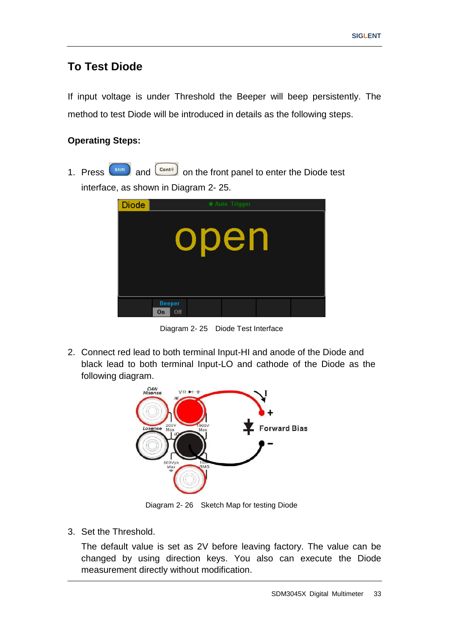## **To Test Diode**

If input voltage is under Threshold the Beeper will beep persistently. The method to test Diode will be introduced in details as the following steps.

#### **Operating Steps:**

1. Press  $\begin{pmatrix} \sinh \end{pmatrix}$  and  $\begin{pmatrix} \cosh \end{pmatrix}$  on the front panel to enter the Diode test interface, as shown in Diagram 2- 25.

| <b>Diode</b> | • Auto Trigger             |  |  |  |  |  |
|--------------|----------------------------|--|--|--|--|--|
|              | open                       |  |  |  |  |  |
|              |                            |  |  |  |  |  |
|              |                            |  |  |  |  |  |
|              | <b>Beeper</b><br>Off<br>On |  |  |  |  |  |

Diagram 2- 25 Diode Test Interface

2. Connect red lead to both terminal Input-HI and anode of the Diode and black lead to both terminal Input-LO and cathode of the Diode as the following diagram.



Diagram 2- 26 Sketch Map for testing Diode

3. Set the Threshold.

The default value is set as 2V before leaving factory. The value can be changed by using direction keys. You also can execute the Diode measurement directly without modification.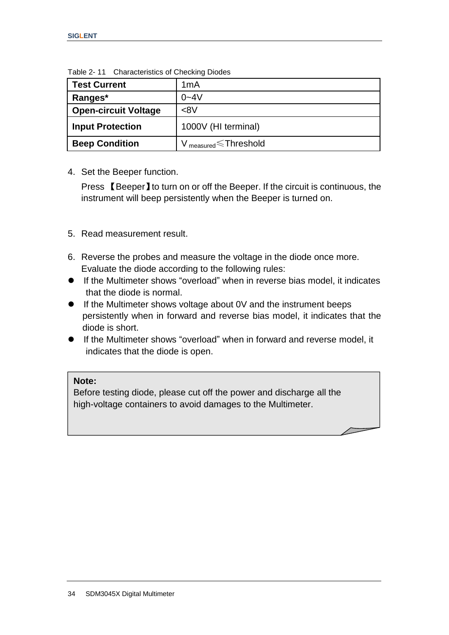| <b>Test Current</b>         | 1 <sub>m</sub> A               |  |  |  |
|-----------------------------|--------------------------------|--|--|--|
| Ranges*                     | $0 - 4V$                       |  |  |  |
| <b>Open-circuit Voltage</b> | <8V                            |  |  |  |
| <b>Input Protection</b>     | 1000V (HI terminal)            |  |  |  |
| <b>Beep Condition</b>       | $V_{measured}$ $\le$ Threshold |  |  |  |

Table 2- 11 Characteristics of Checking Diodes

#### 4. Set the Beeper function.

Press 【Beeper】to turn on or off the Beeper. If the circuit is continuous, the instrument will beep persistently when the Beeper is turned on.

#### 5. Read measurement result.

- 6. Reverse the probes and measure the voltage in the diode once more. Evaluate the diode according to the following rules:
- If the Multimeter shows "overload" when in reverse bias model, it indicates that the diode is normal.
- If the Multimeter shows voltage about 0V and the instrument beeps persistently when in forward and reverse bias model, it indicates that the diode is short.
- If the Multimeter shows "overload" when in forward and reverse model, it indicates that the diode is open.

#### **Note:**

Before testing diode, please cut off the power and discharge all the high-voltage containers to avoid damages to the Multimeter.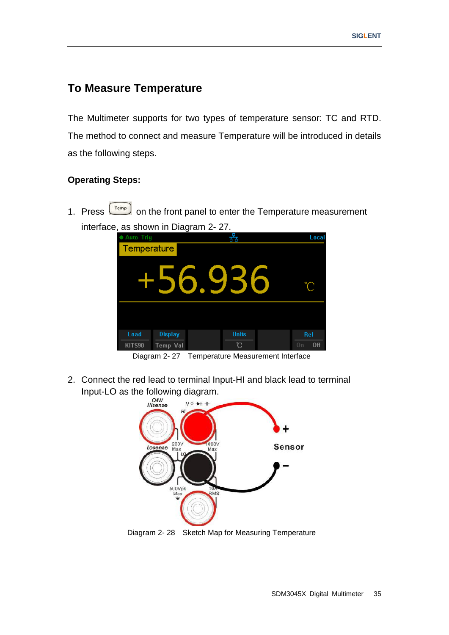# **To Measure Temperature**

The Multimeter supports for two types of temperature sensor: TC and RTD. The method to connect and measure Temperature will be introduced in details as the following steps.

#### **Operating Steps:**

1. Press  $\begin{pmatrix} \tau_{\text{emp}} \\ \tau_{\text{emp}} \end{pmatrix}$  on the front panel to enter the Temperature measurement interface, as shown in Diagram 2- 27.



Diagram 2- 27 Temperature Measurement Interface

2. Connect the red lead to terminal Input-HI and black lead to terminal Input-LO as the following diagram.<br>  $\frac{\Omega_{4W}}{H_{180}^{34W}}$ 

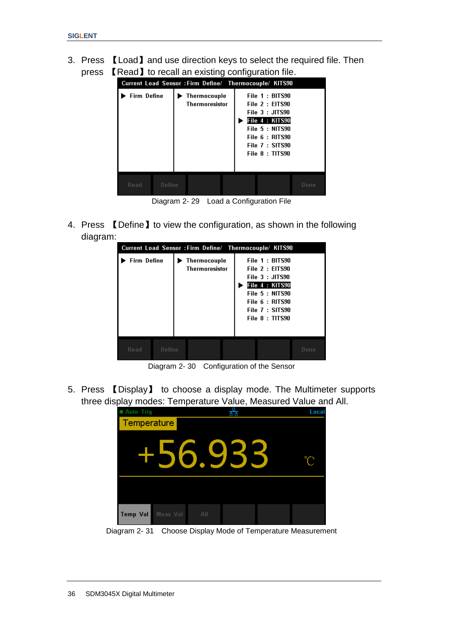3. Press 【Load】and use direction keys to select the required file. Then press 【Read】to recall an existing configuration file.



Diagram 2- 29 Load a Configuration File

4. Press 【Define】to view the configuration, as shown in the following diagram:



Diagram 2- 30 Configuration of the Sensor

5. Press 【Display】 to choose a display mode. The Multimeter supports three display modes: Temperature Value, Measured Value and All.

| ● Auto Trig                 | ᄰ   | Local |
|-----------------------------|-----|-------|
| Temperature                 |     |       |
|                             |     |       |
| Meas Val<br><b>Temp Val</b> | All |       |

Diagram 2- 31 Choose Display Mode of Temperature Measurement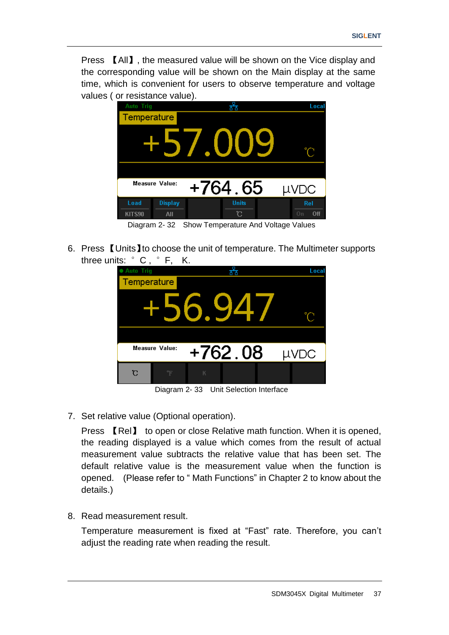Press 【All】, the measured value will be shown on the Vice display and the corresponding value will be shown on the Main display at the same time, which is convenient for users to observe temperature and voltage values ( or resistance value).



Diagram 2- 32 Show Temperature And Voltage Values

6. Press 【Units】to choose the unit of temperature. The Multimeter supports three units: °C , °F, K.



Diagram 2- 33 Unit Selection Interface

7. Set relative value (Optional operation).

Press 【Rel】 to open or close Relative math function. When it is opened, the reading displayed is a value which comes from the result of actual measurement value subtracts the relative value that has been set. The default relative value is the measurement value when the function is opened. (Please refer to " Math Functions" in Chapter 2 to know about the details.)

8. Read measurement result.

Temperature measurement is fixed at "Fast" rate. Therefore, you can"t adjust the reading rate when reading the result.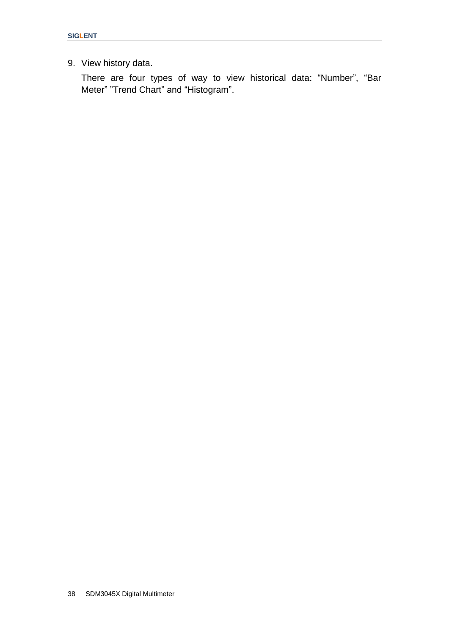9. View history data.

There are four types of way to view historical data: "Number", "Bar Meter" "Trend Chart" and "Histogram".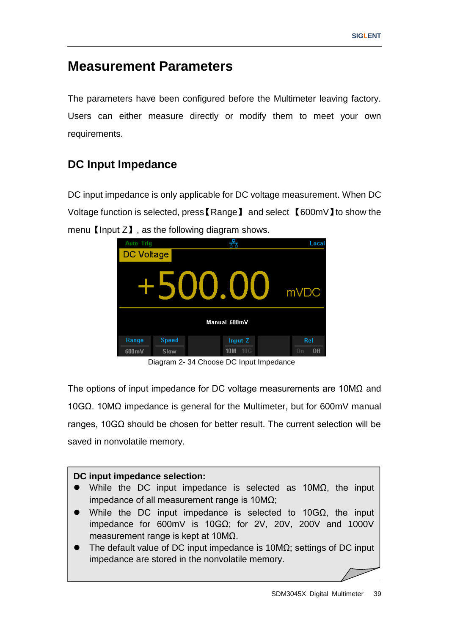# **Measurement Parameters**

The parameters have been configured before the Multimeter leaving factory. Users can either measure directly or modify them to meet your own requirements.

# **DC Input Impedance**

DC input impedance is only applicable for DC voltage measurement. When DC Voltage function is selected, press【Range】 and select 【600mV】to show the menu  $\Box$  as the following diagram shows.



Diagram 2- 34 Choose DC Input Impedance

The options of input impedance for DC voltage measurements are 10MΩ and 10GΩ. 10MΩ impedance is general for the Multimeter, but for 600mV manual ranges, 10GΩ should be chosen for better result. The current selection will be saved in nonvolatile memory.

### **DC input impedance selection:** While the DC input impedance is selected as 10MΩ, the input impedance of all measurement range is 10MΩ; • While the DC input impedance is selected to 10GQ, the input impedance for 600mV is 10GΩ; for 2V, 20V, 200V and 1000V measurement range is kept at 10MΩ. The default value of DC input impedance is 10MΩ; settings of DC input impedance are stored in the nonvolatile memory.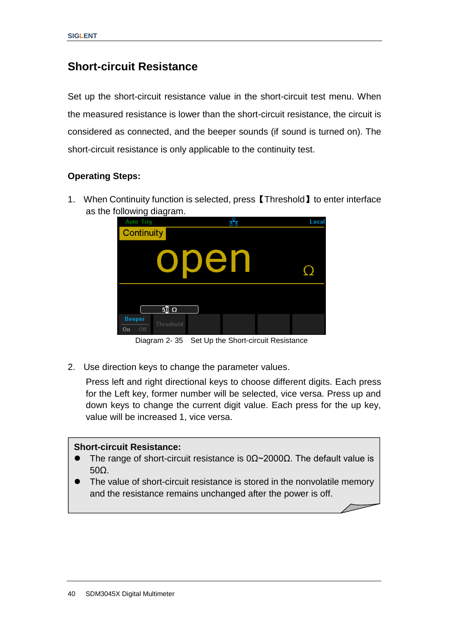## **Short-circuit Resistance**

Set up the short-circuit resistance value in the short-circuit test menu. When the measured resistance is lower than the short-circuit resistance, the circuit is considered as connected, and the beeper sounds (if sound is turned on). The short-circuit resistance is only applicable to the continuity test.

#### **Operating Steps:**

1. When Continuity function is selected, press【Threshold】to enter interface as the following diagram.



Diagram 2- 35 Set Up the Short-circuit Resistance

2. Use direction keys to change the parameter values.

Press left and right directional keys to choose different digits. Each press for the Left key, former number will be selected, vice versa. Press up and down keys to change the current digit value. Each press for the up key, value will be increased 1, vice versa.

#### **Short-circuit Resistance:**

- The range of short-circuit resistance is  $0\Omega \sim 2000\Omega$ . The default value is 50Ω.
- The value of short-circuit resistance is stored in the nonvolatile memory and the resistance remains unchanged after the power is off.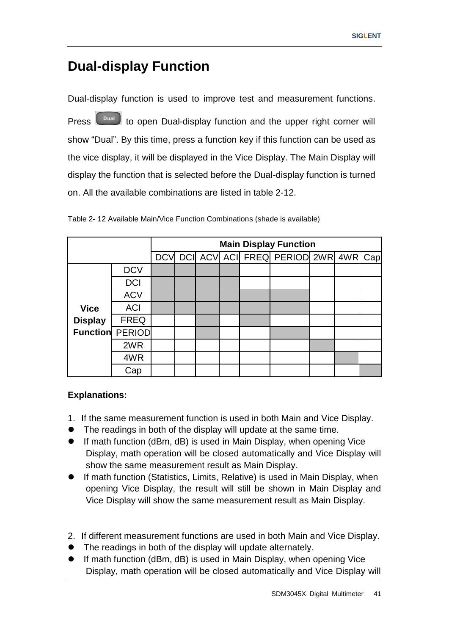# **Dual-display Function**

Dual-display function is used to improve test and measurement functions.

Press **the bual-bual-display function and the upper right corner will** show "Dual". By this time, press a function key if this function can be used as the vice display, it will be displayed in the Vice Display. The Main Display will display the function that is selected before the Dual-display function is turned on. All the available combinations are listed in table 2-12.

|                        |             | <b>Main Display Function</b> |  |  |  |                                         |  |  |  |
|------------------------|-------------|------------------------------|--|--|--|-----------------------------------------|--|--|--|
|                        |             |                              |  |  |  | DCV DCI ACV ACI FREQ PERIOD 2WR 4WR Cap |  |  |  |
|                        | <b>DCV</b>  |                              |  |  |  |                                         |  |  |  |
|                        | <b>DCI</b>  |                              |  |  |  |                                         |  |  |  |
|                        | <b>ACV</b>  |                              |  |  |  |                                         |  |  |  |
| <b>Vice</b>            | <b>ACI</b>  |                              |  |  |  |                                         |  |  |  |
| <b>Display</b>         | <b>FREQ</b> |                              |  |  |  |                                         |  |  |  |
| <b>Function PERIOD</b> |             |                              |  |  |  |                                         |  |  |  |
|                        | 2WR         |                              |  |  |  |                                         |  |  |  |
|                        | 4WR         |                              |  |  |  |                                         |  |  |  |
|                        | Cap         |                              |  |  |  |                                         |  |  |  |

Table 2- 12 Available Main/Vice Function Combinations (shade is available)

#### **Explanations:**

- 1. If the same measurement function is used in both Main and Vice Display.
- The readings in both of the display will update at the same time.
- If math function (dBm, dB) is used in Main Display, when opening Vice Display, math operation will be closed automatically and Vice Display will show the same measurement result as Main Display.
- If math function (Statistics, Limits, Relative) is used in Main Display, when opening Vice Display, the result will still be shown in Main Display and Vice Display will show the same measurement result as Main Display.
- 2. If different measurement functions are used in both Main and Vice Display.
- The readings in both of the display will update alternately.
- If math function (dBm, dB) is used in Main Display, when opening Vice Display, math operation will be closed automatically and Vice Display will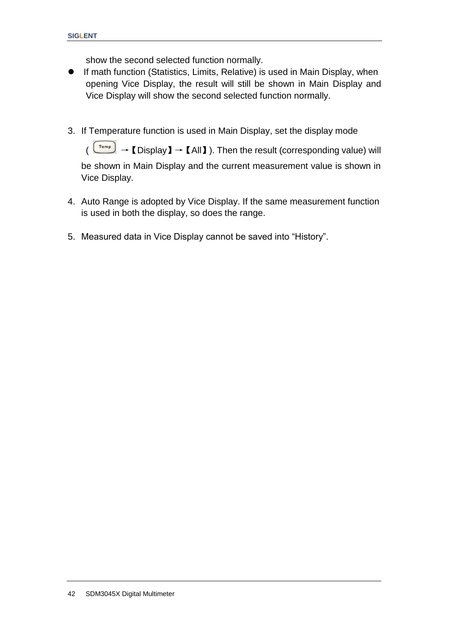show the second selected function normally.

- If math function (Statistics, Limits, Relative) is used in Main Display, when opening Vice Display, the result will still be shown in Main Display and Vice Display will show the second selected function normally.
- 3. If Temperature function is used in Main Display, set the display mode

 $\overline{P_{temp}}$   $\rightarrow$  [Display ]  $\rightarrow$  [All ]). Then the result (corresponding value) will be shown in Main Display and the current measurement value is shown in Vice Display.

- 4. Auto Range is adopted by Vice Display. If the same measurement function is used in both the display, so does the range.
- 5. Measured data in Vice Display cannot be saved into "History".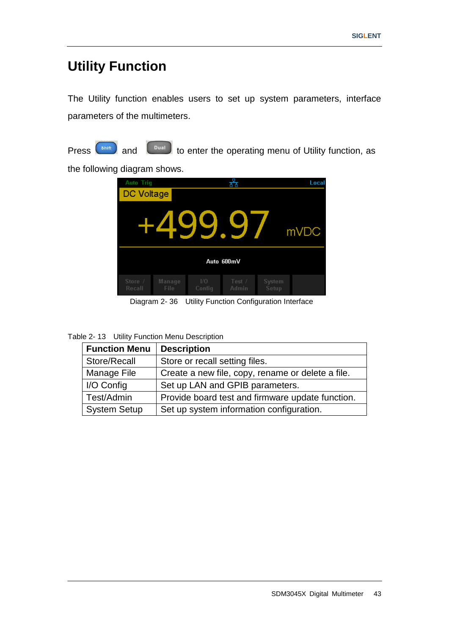# **Utility Function**

The Utility function enables users to set up system parameters, interface parameters of the multimeters.



Press  $\left($ <sup>Shift</sup> and  $\left($ <sup>Dual</sup> to enter the operating menu of Utility function, as

the following diagram shows.

| <b>Auto Trig</b>  |                |               | HН              |                 | Local |  |  |
|-------------------|----------------|---------------|-----------------|-----------------|-------|--|--|
| DC Voltage        |                |               |                 |                 |       |  |  |
|                   |                | Ч             |                 |                 | mVDC  |  |  |
| Auto 600mV        |                |               |                 |                 |       |  |  |
| Store /<br>Recall | Manage<br>File | I/O<br>Config | Test /<br>Admin | System<br>Setup |       |  |  |

Diagram 2- 36 Utility Function Configuration Interface

| Table 2- 13 Utility Function Menu Description |  |  |
|-----------------------------------------------|--|--|
|                                               |  |  |

| <b>Function Menu</b> | <b>Description</b>                                |
|----------------------|---------------------------------------------------|
| Store/Recall         | Store or recall setting files.                    |
| Manage File          | Create a new file, copy, rename or delete a file. |
| I/O Config           | Set up LAN and GPIB parameters.                   |
| Test/Admin           | Provide board test and firmware update function.  |
| <b>System Setup</b>  | Set up system information configuration.          |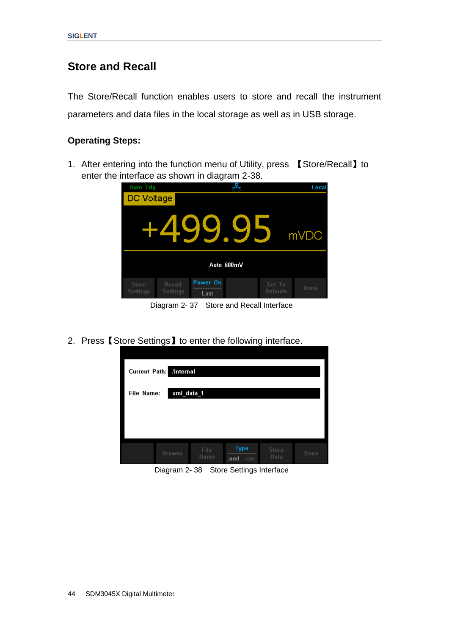### **Store and Recall**

The Store/Recall function enables users to store and recall the instrument parameters and data files in the local storage as well as in USB storage.

#### **Operating Steps:**

1. After entering into the function menu of Utility, press 【Store/Recall】to enter the interface as shown in diagram 2-38.



Diagram 2- 37 Store and Recall Interface

2. Press【Store Settings】to enter the following interface.

| <b>Current Path:</b><br>/internal |               |              |                             |               |      |  |
|-----------------------------------|---------------|--------------|-----------------------------|---------------|------|--|
| xml_data_1<br>File Name:          |               |              |                             |               |      |  |
|                                   |               |              |                             |               |      |  |
|                                   |               |              |                             |               |      |  |
|                                   | <b>Browse</b> | File<br>Name | <b>Type</b><br>.xml<br>.csv | Store<br>Data | Done |  |

Diagram 2- 38 Store Settings Interface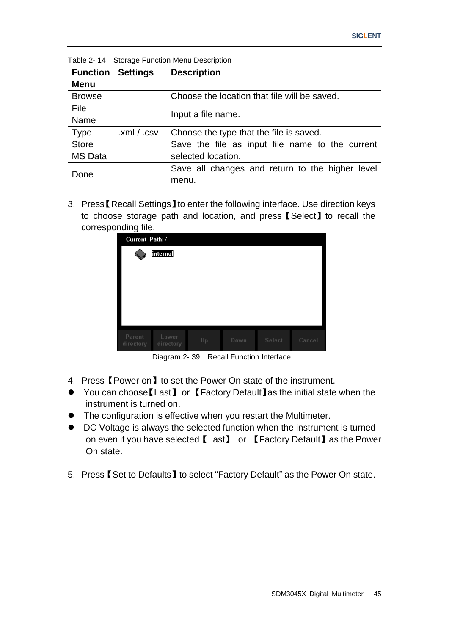| <b>Function</b> | <b>Settings</b> | <b>Description</b>                              |  |  |
|-----------------|-----------------|-------------------------------------------------|--|--|
| <b>Menu</b>     |                 |                                                 |  |  |
| <b>Browse</b>   |                 | Choose the location that file will be saved.    |  |  |
| File            |                 |                                                 |  |  |
| Name            |                 | Input a file name.                              |  |  |
| <b>Type</b>     | .xml / .csv     | Choose the type that the file is saved.         |  |  |
| <b>Store</b>    |                 | Save the file as input file name to the current |  |  |
| <b>MS</b> Data  |                 | selected location.                              |  |  |
| Done            |                 | Save all changes and return to the higher level |  |  |
|                 |                 | menu.                                           |  |  |

Table 2- 14 Storage Function Menu Description

3. Press【Recall Settings】to enter the following interface. Use direction keys to choose storage path and location, and press【Select】to recall the corresponding file.

| ັ<br>Current Path:/ |                    |    |      |        |        |
|---------------------|--------------------|----|------|--------|--------|
|                     | internal           |    |      |        |        |
|                     |                    |    |      |        |        |
|                     |                    |    |      |        |        |
|                     |                    |    |      |        |        |
|                     |                    |    |      |        |        |
|                     |                    |    |      |        |        |
|                     |                    |    |      |        |        |
|                     |                    |    |      |        |        |
| Parent<br>directory | Lower<br>directory | Up | Down | Select | Cancel |

Diagram 2- 39 Recall Function Interface

- 4. Press【Power on】to set the Power On state of the instrument.
- You can choose【Last】 or 【Factory Default】as the initial state when the instrument is turned on.
- The configuration is effective when you restart the Multimeter.
- DC Voltage is always the selected function when the instrument is turned on even if you have selected【Last】 or 【Factory Default】as the Power On state.
- 5. Press【Set to Defaults】to select "Factory Default" as the Power On state.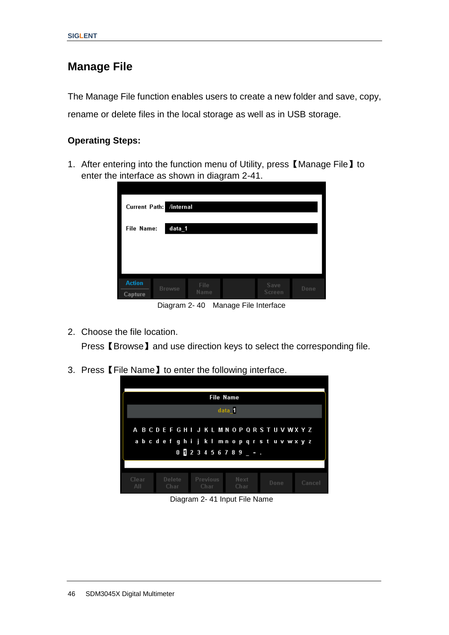### **Manage File**

The Manage File function enables users to create a new folder and save, copy, rename or delete files in the local storage as well as in USB storage.

#### **Operating Steps:**

1. After entering into the function menu of Utility, press 【Manage File】to enter the interface as shown in diagram 2-41.

| Current Path: /internal |                      |              |  |                |      |  |  |
|-------------------------|----------------------|--------------|--|----------------|------|--|--|
|                         | data_1<br>File Name: |              |  |                |      |  |  |
|                         |                      |              |  |                |      |  |  |
|                         |                      |              |  |                |      |  |  |
|                         |                      |              |  |                |      |  |  |
| <b>Action</b>           |                      |              |  |                |      |  |  |
| Capture                 | <b>Browse</b>        | File<br>Name |  | Save<br>Screen | Done |  |  |

Diagram 2- 40 Manage File Interface

2. Choose the file location.

Press【Browse】and use direction keys to select the corresponding file.

3. Press【File Name】to enter the following interface.



Diagram 2- 41 Input File Name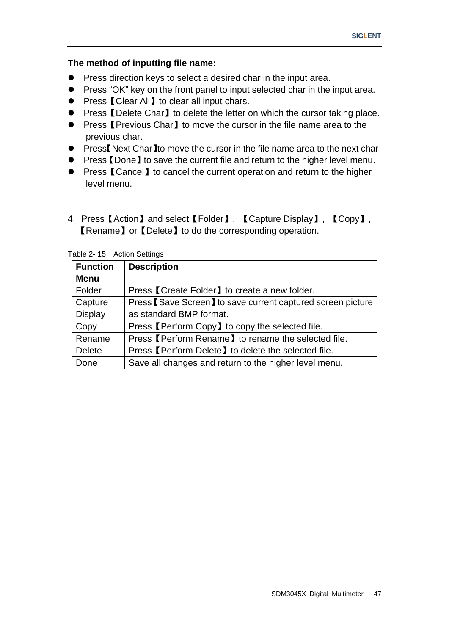#### **The method of inputting file name:**

- **•** Press direction keys to select a desired char in the input area.
- **•** Press "OK" key on the front panel to input selected char in the input area.
- Press【Clear All】to clear all input chars.
- Press 【Delete Char】to delete the letter on which the cursor taking place.
- Press 【Previous Char】to move the cursor in the file name area to the previous char.
- Press【Next Char】to move the cursor in the file name area to the next char.
- Press 【Done】to save the current file and return to the higher level menu.
- Press 【Cancel】to cancel the current operation and return to the higher level menu.
- 4. Press 【Action】and select【Folder】, 【Capture Display】, 【Copy】, 【Rename】or【Delete】to do the corresponding operation.

| <b>Function</b> | <b>Description</b>                                          |
|-----------------|-------------------------------------------------------------|
| <b>Menu</b>     |                                                             |
| Folder          | Press 【Create Folder】 to create a new folder.               |
| Capture         | Press [Save Screen] to save current captured screen picture |
| <b>Display</b>  | as standard BMP format.                                     |
| Copy            | Press [Perform Copy] to copy the selected file.             |
| Rename          | Press [Perform Rename] to rename the selected file.         |
| <b>Delete</b>   | Press [Perform Delete] to delete the selected file.         |
| Done            | Save all changes and return to the higher level menu.       |

Table 2- 15 Action Settings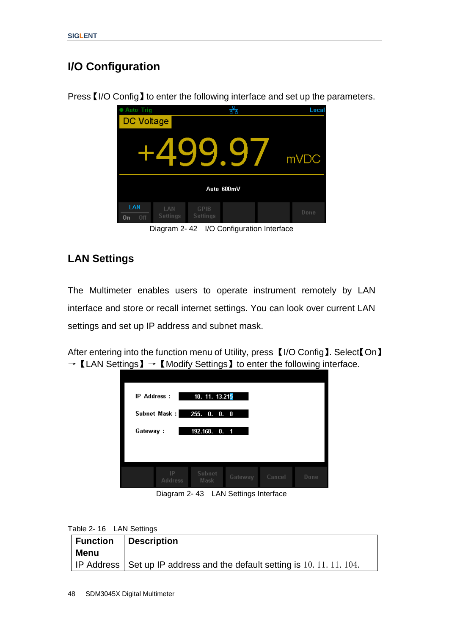# **I/O Configuration**

Press【I/O Config】to enter the following interface and set up the parameters.



Diagram 2- 42 I/O Configuration Interface

### **LAN Settings**

The Multimeter enables users to operate instrument remotely by LAN interface and store or recall internet settings. You can look over current LAN settings and set up IP address and subnet mask.

After entering into the function menu of Utility, press 【I/O Config】. Select【On】  $\rightarrow$  [LAN Settings]  $\rightarrow$  [Modify Settings] to enter the following interface.



Diagram 2- 43 LAN Settings Interface

|  | Table 2-16 LAN Settings |  |
|--|-------------------------|--|
|  |                         |  |

| <b>Function</b><br>Menu | Description                                                                |
|-------------------------|----------------------------------------------------------------------------|
|                         | IP Address   Set up IP address and the default setting is 10, 11, 11, 104. |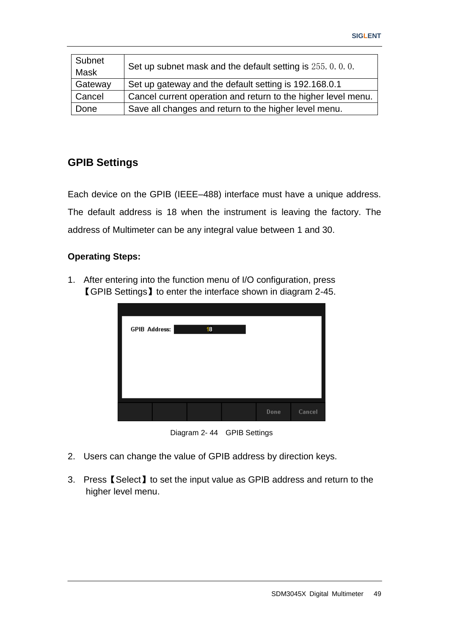| Subnet<br><b>Mask</b> | Set up subnet mask and the default setting is 255, 0, 0, 0.   |
|-----------------------|---------------------------------------------------------------|
| Gateway               | Set up gateway and the default setting is 192.168.0.1         |
| Cancel                | Cancel current operation and return to the higher level menu. |
| Done                  | Save all changes and return to the higher level menu.         |

#### **GPIB Settings**

Each device on the GPIB (IEEE–488) interface must have a unique address. The default address is 18 when the instrument is leaving the factory. The address of Multimeter can be any integral value between 1 and 30.

#### **Operating Steps:**

1. After entering into the function menu of I/O configuration, press 【GPIB Settings】to enter the interface shown in diagram 2-45.

| <b>GPIB Address:</b> | 18 |      |        |
|----------------------|----|------|--------|
|                      |    |      |        |
|                      |    |      |        |
|                      |    | Done | Cancel |



- 2. Users can change the value of GPIB address by direction keys.
- 3. Press【Select】to set the input value as GPIB address and return to the higher level menu.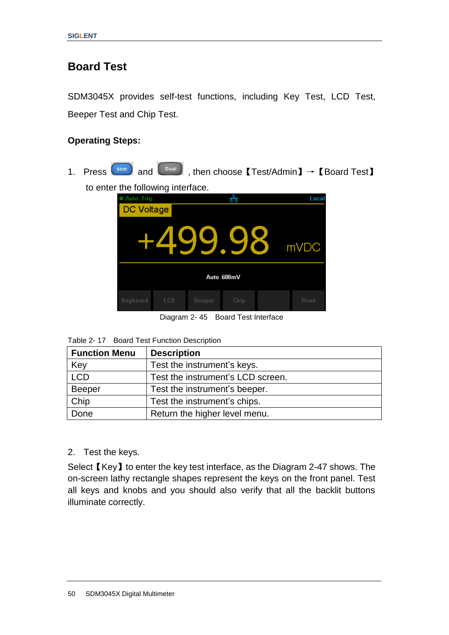# **Board Test**

SDM3045X provides self-test functions, including Key Test, LCD Test, Beeper Test and Chip Test.

#### **Operating Steps:**

1. Press  $\boxed{\phantom{0}\text{shift}}$  and  $\boxed{\phantom{0}\text{total}}$ , then choose  $\boxed{\phantom{0}\text{Test/Admin}}$   $\rightarrow$   $\boxed{\text{Board Test}}$ to enter the following interface.

| uic iviivwiily lilicilavc.                                |     |        |      |  |       |  |
|-----------------------------------------------------------|-----|--------|------|--|-------|--|
| <b>Auto Trig</b>                                          |     |        | ᄰ    |  | Local |  |
| <b>DC Voltage</b>                                         |     |        |      |  |       |  |
|                                                           |     | -499.9 |      |  | mVDC  |  |
| Auto 600mV                                                |     |        |      |  |       |  |
| Keyboard                                                  | LCD | Beeper | Chip |  | Done  |  |
| n:.<br>$D = -1$ $T = -1$ , $T = -1$<br>$\sim$ $\sim$<br>. |     |        |      |  |       |  |

Diagram 2- 45 Board Test Interface

| <b>Function Menu</b> | <b>Description</b>                |
|----------------------|-----------------------------------|
| Key                  | Test the instrument's keys.       |
| <b>LCD</b>           | Test the instrument's LCD screen. |
| Beeper               | Test the instrument's beeper.     |
| Chip                 | Test the instrument's chips.      |
| Done                 | Return the higher level menu.     |

2. Test the keys.

Select【Key】to enter the key test interface, as the Diagram 2-47 shows. The on-screen lathy rectangle shapes represent the keys on the front panel. Test all keys and knobs and you should also verify that all the backlit buttons illuminate correctly.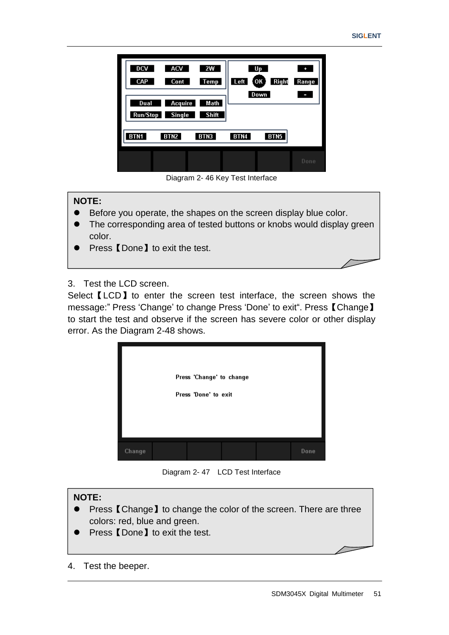| DCV<br>CAP<br>Dual | ACV<br>Cont<br><b>Acquire</b><br>Run/Stop Single | 2W<br><b>Temp</b><br>Math<br>Shift | Left | Up<br><b>Right</b><br>(OK<br>Down | ÷<br>Range<br>L |
|--------------------|--------------------------------------------------|------------------------------------|------|-----------------------------------|-----------------|
| BTN <sub>1</sub>   | BTN <sub>2</sub>                                 | BTN3                               | BTN4 | BTN <sub>5</sub>                  |                 |
|                    |                                                  |                                    |      |                                   | Done            |

Diagram 2- 46 Key Test Interface

#### **NOTE:**

- Before you operate, the shapes on the screen display blue color.
- The corresponding area of tested buttons or knobs would display green color.
- Press **【Done】to exit the test.**
- 3. Test the LCD screen.

Select **[LCD]** to enter the screen test interface, the screen shows the message:" Press 'Change' to change Press 'Done' to exit". Press 【Change】 to start the test and observe if the screen has severe color or other display error. As the Diagram 2-48 shows.



Diagram 2- 47 LCD Test Interface

#### **NOTE:** ● Press 【Change】to change the color of the screen. There are three colors: red, blue and green. Press 【Done】to exit the test.

4. Test the beeper.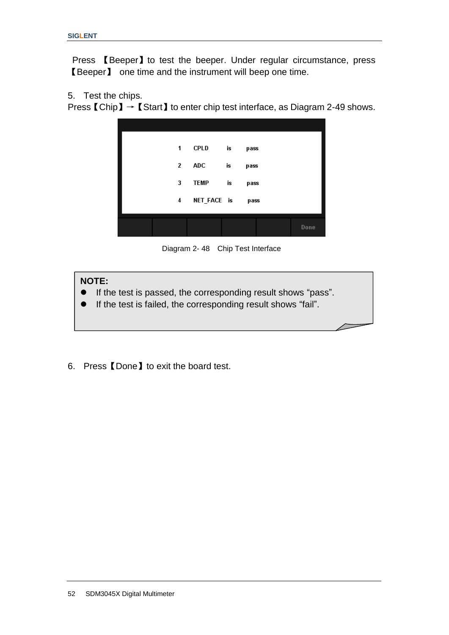Press 【Beeper】to test the beeper. Under regular circumstance, press 【Beeper】 one time and the instrument will beep one time.

5. Test the chips.

Press 【Chip】→【Start】to enter chip test interface, as Diagram 2-49 shows.



Diagram 2- 48 Chip Test Interface

#### **NOTE:**

- If the test is passed, the corresponding result shows "pass".
- If the test is failed, the corresponding result shows "fail".
- 6. Press【Done】to exit the board test.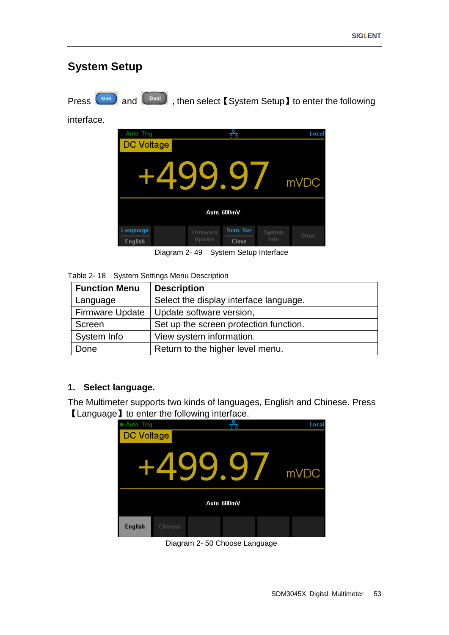# **System Setup**

Press  $\left($ <sup>Shift</sup> and  $\left($ <sup>Dual</sup>, then select 【System Setup】to enter the following

interface.



Diagram 2- 49 System Setup Interface

|  | Table 2-18 System Settings Menu Description |  |
|--|---------------------------------------------|--|
|--|---------------------------------------------|--|

| <b>Function Menu</b>   | <b>Description</b>                     |
|------------------------|----------------------------------------|
| Language               | Select the display interface language. |
| <b>Firmware Update</b> | Update software version,               |
| Screen                 | Set up the screen protection function. |
| System Info            | View system information.               |
| Done                   | Return to the higher level menu.       |

#### **1. Select language.**

The Multimeter supports two kinds of languages, English and Chinese. Press 【Language】to enter the following interface.



Diagram 2- 50 Choose Language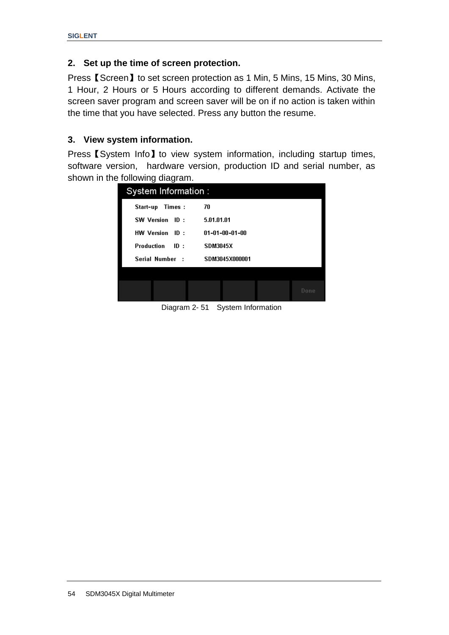#### **2. Set up the time of screen protection.**

Press【Screen】to set screen protection as 1 Min, 5 Mins, 15 Mins, 30 Mins, 1 Hour, 2 Hours or 5 Hours according to different demands. Activate the screen saver program and screen saver will be on if no action is taken within the time that you have selected. Press any button the resume.

#### **3. View system information.**

Press **[**System Info] to view system information, including startup times, software version, hardware version, production ID and serial number, as shown in the following diagram.

| System Information:      |                          |
|--------------------------|--------------------------|
| Start-up<br>Times:       | 70                       |
| SW Version ID:           | 5.01.01.01               |
| HW Version ID:           | $01 - 01 - 00 - 01 - 00$ |
| <b>Production</b><br>ID: | <b>SDM3045X</b>          |
| Serial Number :          | SDM3045X000001           |
|                          |                          |
|                          | Done                     |

Diagram 2- 51 System Information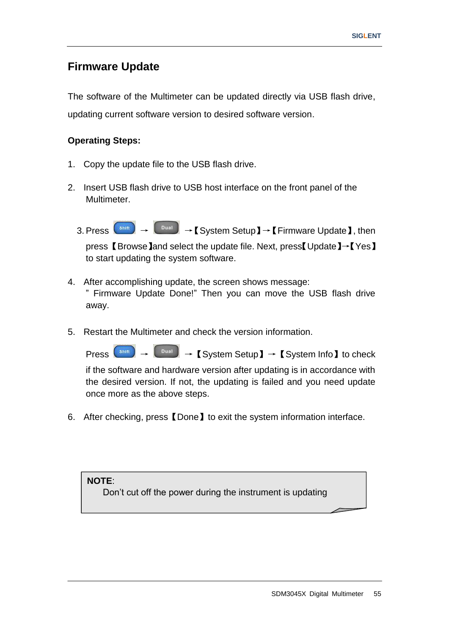## **Firmware Update**

The software of the Multimeter can be updated directly via USB flash drive, updating current software version to desired software version.

#### **Operating Steps:**

- 1. Copy the update file to the USB flash drive.
- 2. Insert USB flash drive to USB host interface on the front panel of the Multimeter.
	- 3. Press  $\begin{pmatrix} \sinh \end{pmatrix} \rightarrow \begin{pmatrix} 0 \end{pmatrix}$   $\rightarrow$  [System Setup ]  $\rightarrow$  [Firmware Update ], then press 【Browse】and select the update file. Next, press【Update】→【Yes】 to start updating the system software.
- 4. After accomplishing update, the screen shows message: " Firmware Update Done!" Then you can move the USB flash drive away.
- 5. Restart the Multimeter and check the version information.

 $\text{Press}$   $\left( \begin{array}{c} \text{Shift} \\ \text{5} \end{array} \right)$   $\rightarrow$   $\left[ \begin{array}{c} \text{S} \\ \text{S} \end{array} \right]$   $\rightarrow$   $\left[ \begin{array}{c} \text{S} \\ \text{S} \end{array} \right]$   $\rightarrow$   $\left[ \begin{array}{c} \text{S} \\ \text{S} \end{array} \right]$   $\rightarrow$   $\left[ \begin{array}{c} \text{S} \\ \text{S} \end{array} \right]$  to check

if the software and hardware version after updating is in accordance with the desired version. If not, the updating is failed and you need update once more as the above steps.

6. After checking, press【Done】to exit the system information interface.

**NOTE**:

Don"t cut off the power during the instrument is updating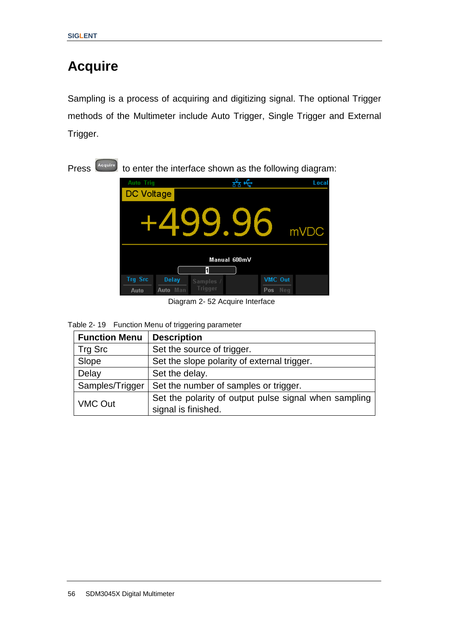# **Acquire**

Sampling is a process of acquiring and digitizing signal. The optional Trigger methods of the Multimeter include Auto Trigger, Single Trigger and External Trigger.

Press  $\left[\right.$ <sup>Acquire</sup> to enter the interface shown as the following diagram:



Diagram 2- 52 Acquire Interface

|  | Table 2-19 Function Menu of triggering parameter |
|--|--------------------------------------------------|
|--|--------------------------------------------------|

| <b>Function Menu</b> | <b>Description</b>                                    |
|----------------------|-------------------------------------------------------|
| Trg Src              | Set the source of trigger.                            |
| Slope                | Set the slope polarity of external trigger.           |
| Delay                | Set the delay.                                        |
| Samples/Trigger      | Set the number of samples or trigger.                 |
| <b>VMC Out</b>       | Set the polarity of output pulse signal when sampling |
|                      | signal is finished.                                   |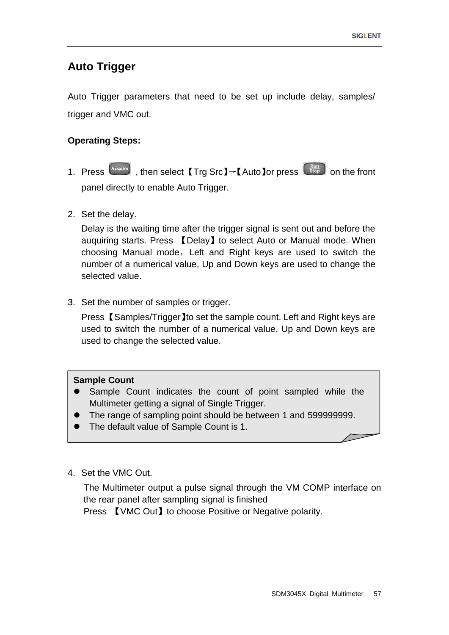# **Auto Trigger**

Auto Trigger parameters that need to be set up include delay, samples/ trigger and VMC out.

#### **Operating Steps:**

- 1. Press  $\frac{A_{\text{cquire}}}{B_{\text{top}}}$ , then select 【Trg Src】→【Auto lor press  $\frac{R_{\text{un}}}{B_{\text{top}}}$  on the front panel directly to enable Auto Trigger.
- 2. Set the delay.

Delay is the waiting time after the trigger signal is sent out and before the auquiring starts. Press 【Delay】to select Auto or Manual mode. When choosing Manual mode, Left and Right keys are used to switch the number of a numerical value, Up and Down keys are used to change the selected value.

3. Set the number of samples or trigger.

Press 【Samples/Trigger】to set the sample count. Left and Right keys are used to switch the number of a numerical value, Up and Down keys are used to change the selected value.

#### **Sample Count**

- Sample Count indicates the count of point sampled while the Multimeter getting a signal of Single Trigger.
- The range of sampling point should be between 1 and 599999999.
- The default value of Sample Count is 1.
- 4. Set the VMC Out.

The Multimeter output a pulse signal through the VM COMP interface on the rear panel after sampling signal is finished

Press **[VMC Out]** to choose Positive or Negative polarity.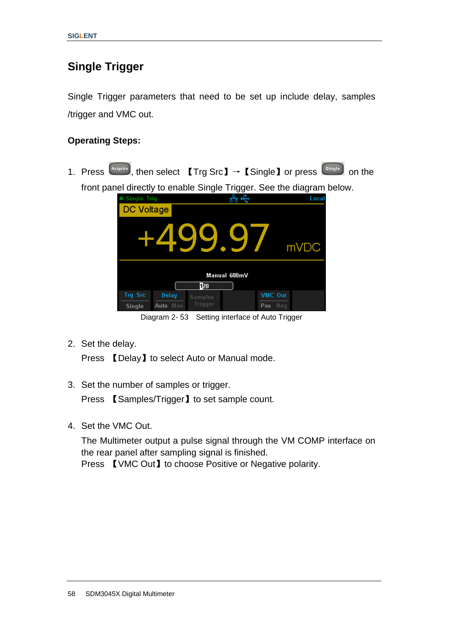# **Single Trigger**

Single Trigger parameters that need to be set up include delay, samples /trigger and VMC out.

#### **Operating Steps:**

1. Press  $\frac{A_{\text{cquire}}}{A_{\text{cquire}}}$ , then select  $[Trg Src] \rightarrow [Sing]$  or press  $\frac{S_{\text{single}}}{A_{\text{cyclic}}}$  on the front panel directly to enable Single Trigger. See the diagram below.

| <b>Single Trig</b> |              |           |              |                                   | Local |
|--------------------|--------------|-----------|--------------|-----------------------------------|-------|
| <b>DC Voltage</b>  |              |           |              |                                   |       |
|                    |              | .99       |              |                                   | mVDC  |
|                    |              |           | Manual 600mV |                                   |       |
|                    |              | 020       |              |                                   |       |
| <b>Trg Src</b>     | Delay        | Samples / |              | VMC Out                           |       |
| <b>Single</b>      | Auto Man     | Trigger   |              | Pos Neg                           |       |
|                    | Diagram 2-53 |           |              | Setting interface of Auto Trigger |       |

2. Set the delay.

Press 【Delay】to select Auto or Manual mode.

3. Set the number of samples or trigger.

Press **【Samples/Trigger】to set sample count.** 

4. Set the VMC Out.

The Multimeter output a pulse signal through the VM COMP interface on the rear panel after sampling signal is finished. Press **[VMC Out]** to choose Positive or Negative polarity.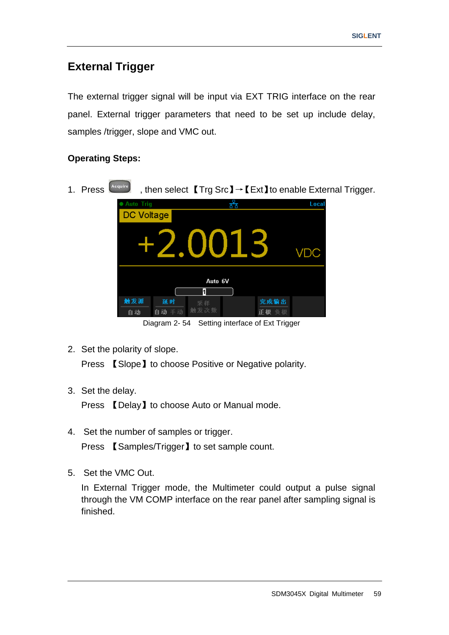# **External Trigger**

The external trigger signal will be input via EXT TRIG interface on the rear panel. External trigger parameters that need to be set up include delay, samples /trigger, slope and VMC out.

#### **Operating Steps:**

1. Press Acquire , then select 【Trg Src】→【Ext】to enable External Trigger. Local Tri Ť DC Voltage **VDC** Auto 6V  $\overline{\mathbf{1}}$ 触发源 延时 完成输出

Diagram 2- 54 Setting interface of Ext Trigger

正极

2. Set the polarity of slope.

自动

自动

Press 【Slope】to choose Positive or Negative polarity.

3. Set the delay.

Press 【Delay】to choose Auto or Manual mode.

- 4. Set the number of samples or trigger. Press 【Samples/Trigger】to set sample count.
- 5. Set the VMC Out.

In External Trigger mode, the Multimeter could output a pulse signal through the VM COMP interface on the rear panel after sampling signal is finished.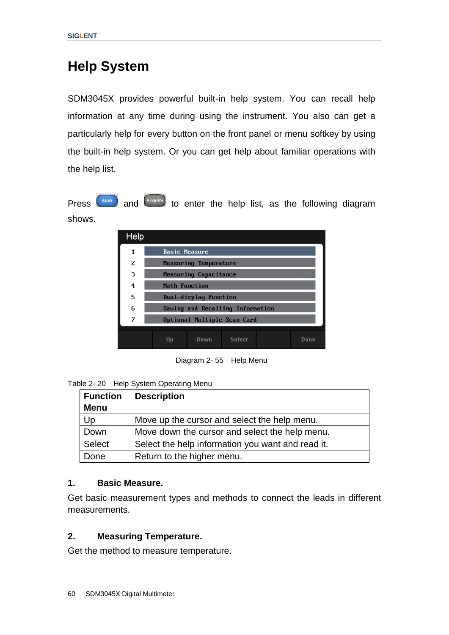# **Help System**

SDM3045X provides powerful built-in help system. You can recall help information at any time during using the instrument. You also can get a particularly help for every button on the front panel or menu softkey by using the built-in help system. Or you can get help about familiar operations with the help list.

Press  $\left($ <sup>Shift</sup>) and  $\left($ <sup>Acquire</sup> to enter the help list, as the following diagram shows.

| <b>Help</b>    |                                      |
|----------------|--------------------------------------|
| 1              | <b>Basic Measure</b>                 |
| $\overline{z}$ | Measuring Temperature                |
| з              | Measuring Capacitance                |
| 4              | Math Function                        |
| 5              | Dual-display Function                |
| 6              | Saving and Recalling Information     |
| 7              | Optional Multiple Scan Card          |
|                | Down.<br><b>Select</b><br>Done<br>Up |
|                |                                      |

Diagram 2- 55 Help Menu

Table 2- 20 Help System Operating Menu

| <b>Function</b> | <b>Description</b>                                |
|-----------------|---------------------------------------------------|
| <b>Menu</b>     |                                                   |
| Up              | Move up the cursor and select the help menu.      |
| Down            | Move down the cursor and select the help menu.    |
| <b>Select</b>   | Select the help information you want and read it. |
| Done            | Return to the higher menu.                        |

#### **1. Basic Measure.**

Get basic measurement types and methods to connect the leads in different measurements.

#### **2. Measuring Temperature.**

Get the method to measure temperature.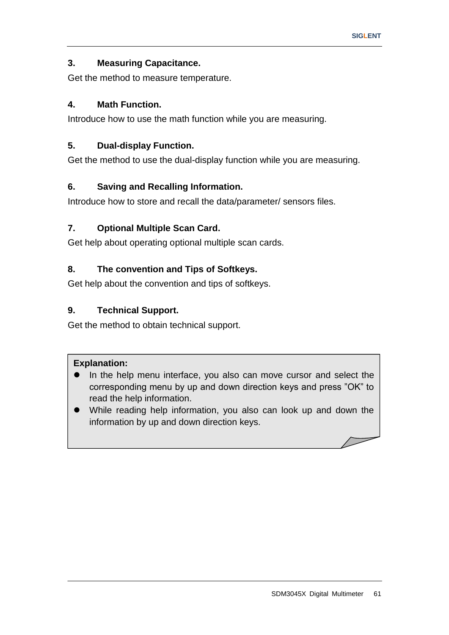### **3. Measuring Capacitance.**

Get the method to measure temperature.

### **4. Math Function.**

Introduce how to use the math function while you are measuring.

### **5. Dual-display Function.**

Get the method to use the dual-display function while you are measuring.

### **6. Saving and Recalling Information.**

Introduce how to store and recall the data/parameter/ sensors files.

### **7. Optional Multiple Scan Card.**

Get help about operating optional multiple scan cards.

### **8. The convention and Tips of Softkeys.**

Get help about the convention and tips of softkeys.

### **9. Technical Support.**

Get the method to obtain technical support.

#### **Explanation:**

- In the help menu interface, you also can move cursor and select the corresponding menu by up and down direction keys and press "OK" to read the help information.
- While reading help information, you also can look up and down the information by up and down direction keys.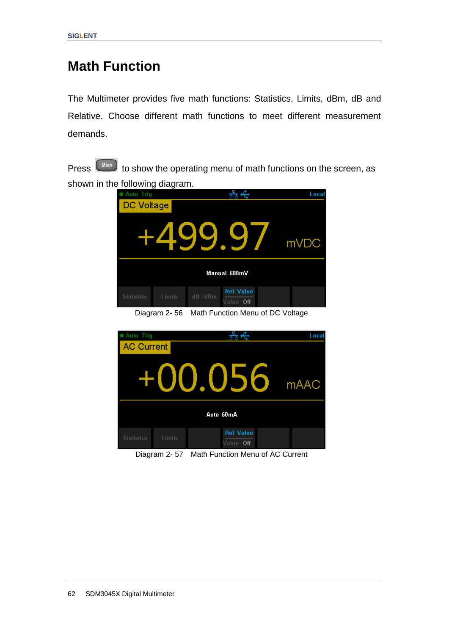# **Math Function**

The Multimeter provides five math functions: Statistics, Limits, dBm, dB and Relative. Choose different math functions to meet different measurement demands.

Press **(Math)** to show the operating menu of math functions on the screen, as shown in the following diagram.

| <b>Auto Trig</b><br><b>COL</b> | ັ           |                                          | Local            |  |
|--------------------------------|-------------|------------------------------------------|------------------|--|
| DC Voltage                     |             |                                          |                  |  |
|                                |             | +499.9                                   | mV <sub>DC</sub> |  |
| Manual 600mV                   |             |                                          |                  |  |
| <b>Statistics</b>              | Limits      | <b>Rel Value</b><br>dB /dBm<br>Value Off |                  |  |
|                                | Diaram 2.56 | Math Eunstian Manu of DC Valtage         |                  |  |

Diagram 2- 56 Math Function Menu of DC Voltage



Diagram 2- 57 Math Function Menu of AC Current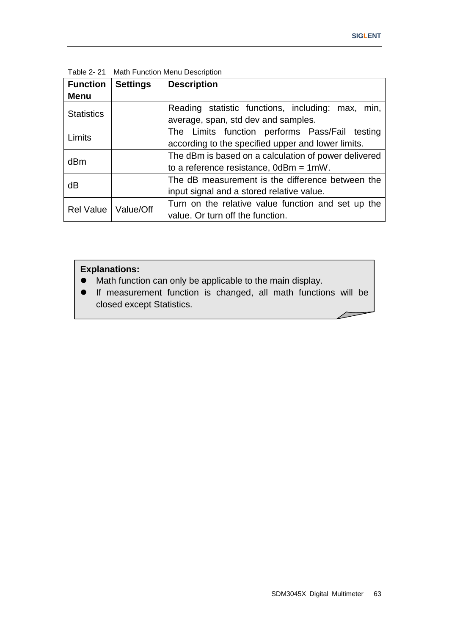| <b>Function</b>   | <b>Settings</b> | <b>Description</b>                                   |  |  |  |
|-------------------|-----------------|------------------------------------------------------|--|--|--|
| <b>Menu</b>       |                 |                                                      |  |  |  |
|                   |                 | Reading statistic functions, including: max,<br>min. |  |  |  |
| <b>Statistics</b> |                 | average, span, std dev and samples.                  |  |  |  |
| Limits            |                 | The Limits function performs Pass/Fail testing       |  |  |  |
|                   |                 | according to the specified upper and lower limits.   |  |  |  |
| dBm               |                 | The dBm is based on a calculation of power delivered |  |  |  |
|                   |                 | to a reference resistance, $0dBm = 1mW$ .            |  |  |  |
|                   |                 | The dB measurement is the difference between the     |  |  |  |
| dB                |                 | input signal and a stored relative value.            |  |  |  |
|                   | Value/Off       | Turn on the relative value function and set up the   |  |  |  |
| <b>Rel Value</b>  |                 | value. Or turn off the function.                     |  |  |  |

Table 2- 21 Math Function Menu Description

### **Explanations:**

- Math function can only be applicable to the main display.
- If measurement function is changed, all math functions will be closed except Statistics.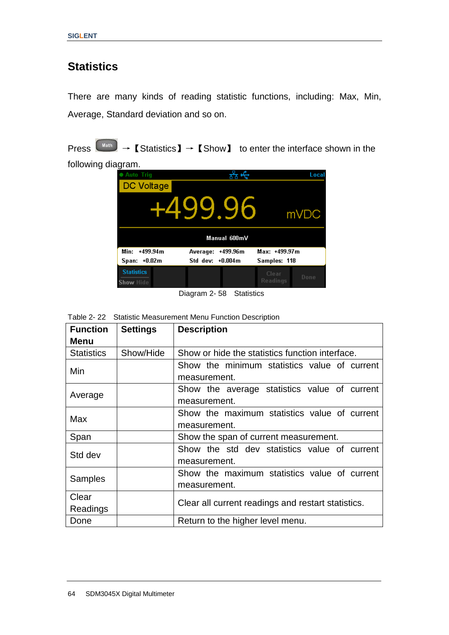### **Statistics**

There are many kinds of reading statistic functions, including: Max, Min, Average, Standard deviation and so on.

Press  $\begin{bmatrix} \text{Math} \end{bmatrix}$   $\rightarrow$  **[**Statistics **]**  $\rightarrow$  **[**Show **]** to enter the interface shown in the

following diagram.



Diagram 2- 58 Statistics

| . | $\sim$ $\sim$ $\sim$ |                                                            |  |
|---|----------------------|------------------------------------------------------------|--|
|   |                      | Table 2-22 Statistic Measurement Menu Function Description |  |

| <b>Function</b>   | <b>Settings</b> | <b>Description</b>                                 |  |  |  |  |
|-------------------|-----------------|----------------------------------------------------|--|--|--|--|
| <b>Menu</b>       |                 |                                                    |  |  |  |  |
| <b>Statistics</b> | Show/Hide       | Show or hide the statistics function interface.    |  |  |  |  |
| Min               |                 | Show the minimum statistics value of current       |  |  |  |  |
|                   |                 | measurement.                                       |  |  |  |  |
|                   |                 | Show the average statistics value of current       |  |  |  |  |
| Average           |                 | measurement.                                       |  |  |  |  |
| Max               |                 | Show the maximum statistics value of current       |  |  |  |  |
|                   |                 | measurement.                                       |  |  |  |  |
| Span              |                 | Show the span of current measurement.              |  |  |  |  |
|                   |                 | Show the std dev statistics value of current       |  |  |  |  |
| Std dev           |                 | measurement.                                       |  |  |  |  |
|                   |                 | Show the maximum statistics value of current       |  |  |  |  |
| <b>Samples</b>    |                 | measurement.                                       |  |  |  |  |
| Clear             |                 | Clear all current readings and restart statistics. |  |  |  |  |
| Readings          |                 |                                                    |  |  |  |  |
| Done              |                 | Return to the higher level menu.                   |  |  |  |  |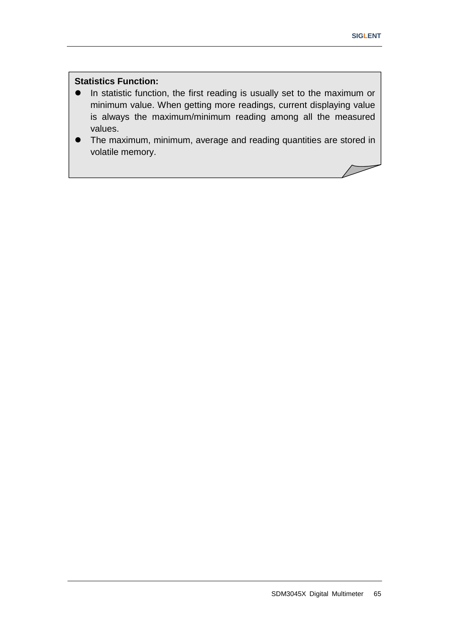$\sqrt{}$ 

### **Statistics Function:**

- In statistic function, the first reading is usually set to the maximum or minimum value. When getting more readings, current displaying value is always the maximum/minimum reading among all the measured values.
- The maximum, minimum, average and reading quantities are stored in volatile memory.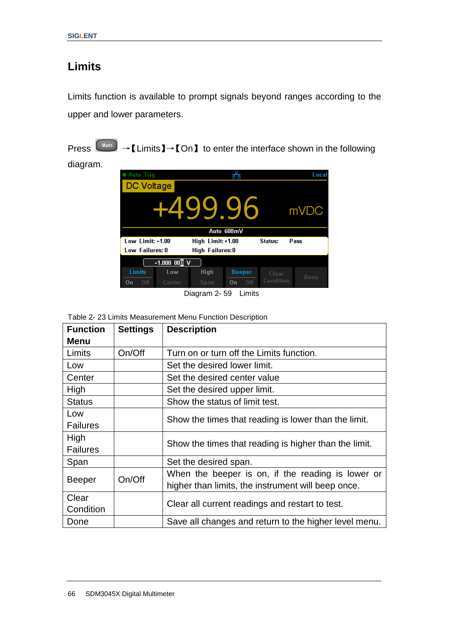## **Limits**

Limits function is available to prompt signals beyond ranges according to the upper and lower parameters.

Press  $\begin{bmatrix} \text{Math} \end{bmatrix}$   $\rightarrow$  [Limits ]  $\rightarrow$  [On ] to enter the interface shown in the following

diagram.

| <b>Auto Trig</b>                   |                                                          |             |               |           | Local |  |
|------------------------------------|----------------------------------------------------------|-------------|---------------|-----------|-------|--|
| DC Voltage                         |                                                          |             |               |           |       |  |
| <u>gg</u><br>mVDC                  |                                                          |             |               |           |       |  |
|                                    | Auto 600mV                                               |             |               |           |       |  |
|                                    | Low Limit: -1.00<br>High Limit: +1.00<br>Status:<br>Pass |             |               |           |       |  |
| Low Failures: 0<br>High Failures:0 |                                                          |             |               |           |       |  |
| $-1.000$ 00 <sup>1</sup> V         |                                                          |             |               |           |       |  |
| Limits                             | Low                                                      | <b>High</b> | <b>Beeper</b> | Clear     |       |  |
| Off<br>On                          | Center                                                   | Span        | Off<br>On     | Condition | Done  |  |

Diagram 2- 59 Limits

Table 2- 23 Limits Measurement Menu Function Description

| <b>Function</b> | <b>Settings</b> | <b>Description</b>                                    |  |
|-----------------|-----------------|-------------------------------------------------------|--|
| <b>Menu</b>     |                 |                                                       |  |
| Limits          | On/Off          | Turn on or turn off the Limits function.              |  |
| Low             |                 | Set the desired lower limit.                          |  |
| Center          |                 | Set the desired center value                          |  |
| High            |                 | Set the desired upper limit.                          |  |
| <b>Status</b>   |                 | Show the status of limit test.                        |  |
| Low             |                 | Show the times that reading is lower than the limit.  |  |
| <b>Failures</b> |                 |                                                       |  |
| High            |                 | Show the times that reading is higher than the limit. |  |
| <b>Failures</b> |                 |                                                       |  |
| Span            |                 | Set the desired span.                                 |  |
| <b>Beeper</b>   | On/Off          | When the beeper is on, if the reading is lower or     |  |
|                 |                 | higher than limits, the instrument will beep once.    |  |
| Clear           |                 | Clear all current readings and restart to test.       |  |
| Condition       |                 |                                                       |  |
| Done            |                 | Save all changes and return to the higher level menu. |  |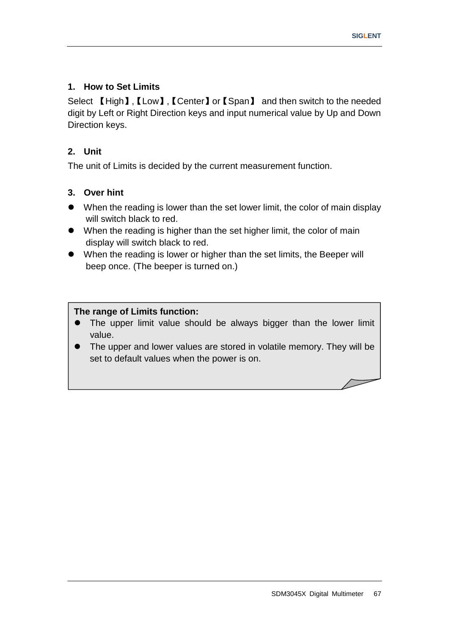### **1. How to Set Limits**

Select 【High】,【Low】,【Center】or【Span】 and then switch to the needed digit by Left or Right Direction keys and input numerical value by Up and Down Direction keys.

### **2. Unit**

The unit of Limits is decided by the current measurement function.

### **3. Over hint**

- When the reading is lower than the set lower limit, the color of main display will switch black to red.
- When the reading is higher than the set higher limit, the color of main display will switch black to red.
- When the reading is lower or higher than the set limits, the Beeper will beep once. (The beeper is turned on.)

#### **The range of Limits function:**

- The upper limit value should be always bigger than the lower limit value.
- The upper and lower values are stored in volatile memory. They will be set to default values when the power is on.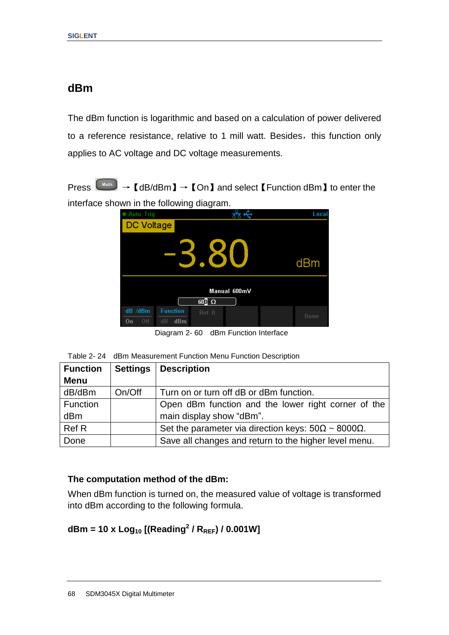### **dBm**

The dBm function is logarithmic and based on a calculation of power delivered to a reference resistance, relative to 1 mill watt. Besides, this function only applies to AC voltage and DC voltage measurements.

Press  $\left(\begin{array}{ccc} \text{Math} \end{array}\right) \rightarrow \left[\begin{array}{ccc} dB/dBm & \to & \text{Con} \end{array}\right]$  and select  $\left[\begin{array}{ccc} \text{Function } dBm & \to & \text{the} \end{array}\right]$ interface shown in the following diagram.



Diagram 2- 60 dBm Function Interface

| <b>Function</b> |        | Settings   Description                                             |
|-----------------|--------|--------------------------------------------------------------------|
| <b>Menu</b>     |        |                                                                    |
| dB/dBm          | On/Off | Turn on or turn off dB or dBm function.                            |
| Function        |        | Open dBm function and the lower right corner of the                |
| dBm             |        | main display show "dBm".                                           |
| Ref R           |        | Set the parameter via direction keys: $50\Omega \sim 8000\Omega$ . |
| Done            |        | Save all changes and return to the higher level menu.              |

#### **The computation method of the dBm:**

When dBm function is turned on, the measured value of voltage is transformed into dBm according to the following formula.

### **dBm = 10 x Log<sup>10</sup> [(Reading<sup>2</sup> / RREF) / 0.001W]**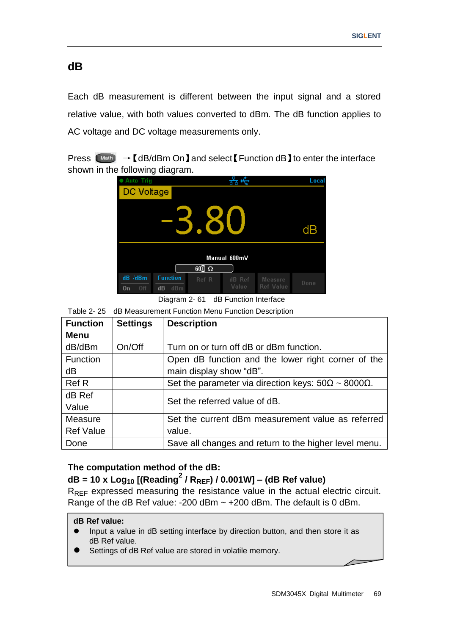### **dB**

Each dB measurement is different between the input signal and a stored relative value, with both values converted to dBm. The dB function applies to AC voltage and DC voltage measurements only.

Press  $\left(\begin{array}{cc} \text{Math} \end{array}\right) \rightarrow \left[\begin{array}{cc} dB/dBm & \text{On} \end{array}\right]$  and select  $\left[\begin{array}{cc} \text{Function} \text{ dB} \end{array}\right]$  to enter the interface shown in the following diagram.



Diagram 2- 61 dB Function Interface

Table 2- 25 dB Measurement Function Menu Function Description

| <b>Function</b>  | <b>Settings</b> | <b>Description</b>                                                 |  |
|------------------|-----------------|--------------------------------------------------------------------|--|
| Menu             |                 |                                                                    |  |
| dB/dBm           | On/Off          | Turn on or turn off dB or dBm function.                            |  |
| Function         |                 | Open dB function and the lower right corner of the                 |  |
| dB               |                 | main display show "dB".                                            |  |
| <b>Ref R</b>     |                 | Set the parameter via direction keys: $50\Omega \sim 8000\Omega$ . |  |
| dB Ref           |                 | Set the referred value of dB.                                      |  |
| Value            |                 |                                                                    |  |
| Measure          |                 | Set the current dBm measurement value as referred                  |  |
| <b>Ref Value</b> |                 | value.                                                             |  |
| Done             |                 | Save all changes and return to the higher level menu.              |  |

#### **The computation method of the dB:**

### **dB <sup>=</sup> <sup>10</sup> <sup>x</sup> Log<sup>10</sup> [(Reading<sup>2</sup> / RREF) / 0.001W] – (dB Ref value)**

R<sub>RFF</sub> expressed measuring the resistance value in the actual electric circuit. Range of the dB Ref value: -200 dBm ~ +200 dBm. The default is 0 dBm.

#### **dB Ref value:**

- Input a value in dB setting interface by direction button, and then store it as dB Ref value.
- Settings of dB Ref value are stored in volatile memory.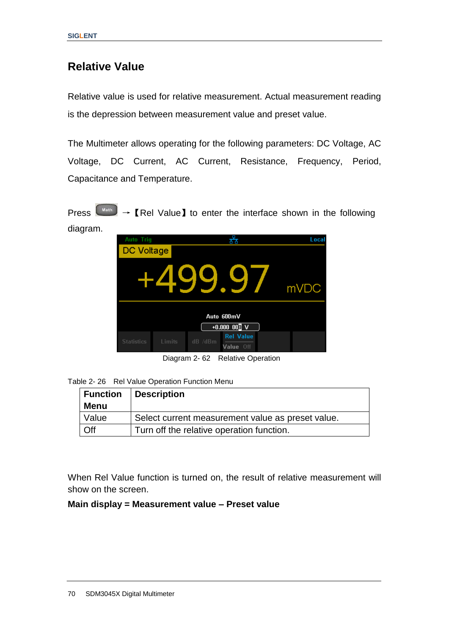### **Relative Value**

Relative value is used for relative measurement. Actual measurement reading is the depression between measurement value and preset value.

The Multimeter allows operating for the following parameters: DC Voltage, AC Voltage, DC Current, AC Current, Resistance, Frequency, Period, Capacitance and Temperature.

Press  $\left(\begin{array}{c}\n\text{Math}\n\end{array}\right)$   $\rightarrow$  [Rel Value] to enter the interface shown in the following diagram.



Diagram 2- 62 Relative Operation

| Table 2-26 Rel Value Operation Function Menu |
|----------------------------------------------|
|----------------------------------------------|

|       | Function Description                              |
|-------|---------------------------------------------------|
| Menu  |                                                   |
| Value | Select current measurement value as preset value. |
| Off   | Turn off the relative operation function.         |

When Rel Value function is turned on, the result of relative measurement will show on the screen.

#### **Main display = Measurement value – Preset value**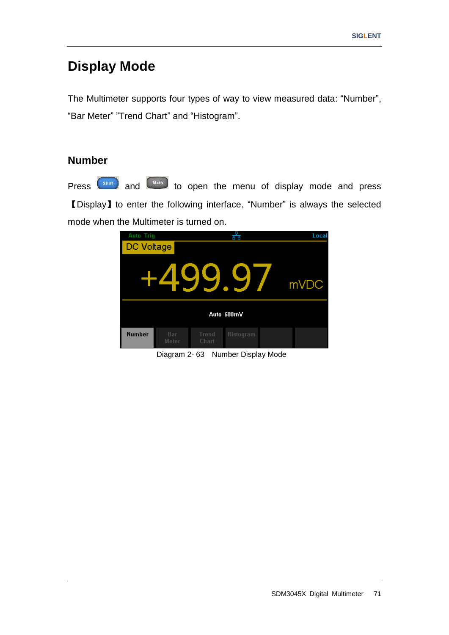# **Display Mode**

The Multimeter supports four types of way to view measured data: "Number", "Bar Meter" "Trend Chart" and "Histogram".

### **Number**

Press  $\left($ <sup>Shift</sup>) and  $\left($ <sup>Math</sup>) to open the menu of display mode and press 【Display】to enter the following interface. "Number" is always the selected mode when the Multimeter is turned on.



Diagram 2- 63 Number Display Mode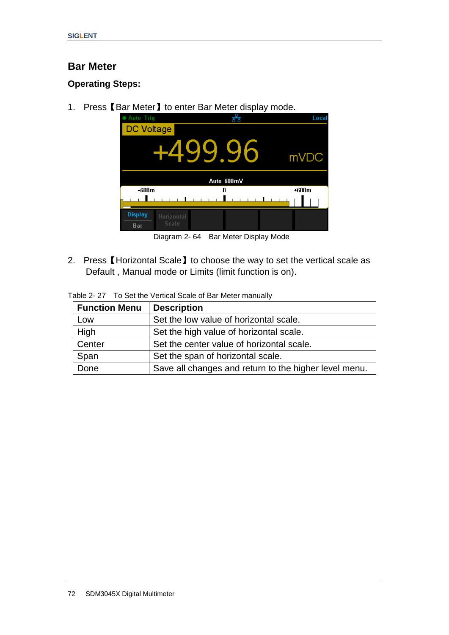### **Bar Meter**

### **Operating Steps:**

1. Press【Bar Meter】to enter Bar Meter display mode.

| <b>Auto Trig</b>      |                     |            | Loca    |  |  |
|-----------------------|---------------------|------------|---------|--|--|
| <b>DC Voltage</b>     |                     |            |         |  |  |
| +499.96<br>mVDC       |                     |            |         |  |  |
|                       |                     | Auto 600mV |         |  |  |
| $-600m$               |                     | n          | $+600m$ |  |  |
|                       |                     |            |         |  |  |
| <b>Display</b><br>Bar | Horizontal<br>Scale |            |         |  |  |

Diagram 2- 64 Bar Meter Display Mode

2. Press【Horizontal Scale】to choose the way to set the vertical scale as Default , Manual mode or Limits (limit function is on).

|  | Table 2-27 To Set the Vertical Scale of Bar Meter manually |
|--|------------------------------------------------------------|
|--|------------------------------------------------------------|

| <b>Function Menu</b> | <b>Description</b>                                    |
|----------------------|-------------------------------------------------------|
| Low                  | Set the low value of horizontal scale.                |
| High                 | Set the high value of horizontal scale.               |
| Center               | Set the center value of horizontal scale.             |
| Span                 | Set the span of horizontal scale.                     |
| Done                 | Save all changes and return to the higher level menu. |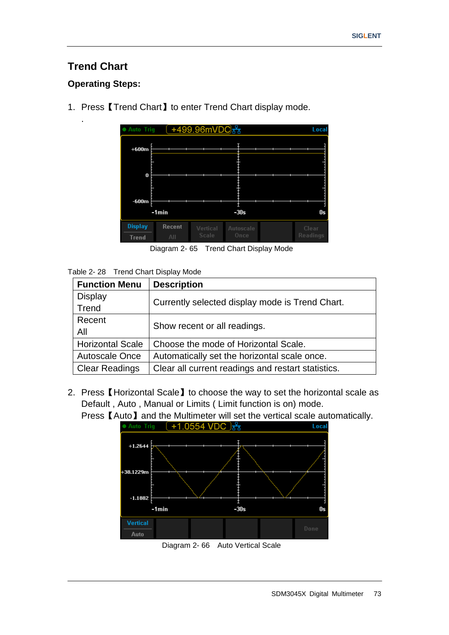### **Trend Chart**

.

### **Operating Steps:**

● Auto Trig  $( +499.96 \text{mVDO} + \text{mV} + \text{mV} + \text{mV} + \text{mV} + \text{mV} + \text{mV} + \text{mV} + \text{mV} + \text{mV} + \text{mV} + \text{mV} + \text{mV} + \text{mV} + \text{mV} + \text{mV} + \text{mV} + \text{mV} + \text{mV} + \text{mV} + \text{mV} + \text{mV} + \text{mV} + \text{mV} + \text{mV} + \text{mV} + \text{mV} + \text{mV} + \text$ Local  $+600m$  $\pmb{0}$  $-600m$  $-1min$  $-30s$  $0s$ **Display** Recent **Trend** Diagram 2- 65 Trend Chart Display Mode

1. Press【Trend Chart】to enter Trend Chart display mode.

Table 2- 28 Trend Chart Display Mode

| <b>Function Menu</b>    | <b>Description</b>                                 |
|-------------------------|----------------------------------------------------|
| <b>Display</b>          |                                                    |
| Trend                   | Currently selected display mode is Trend Chart.    |
| Recent                  | Show recent or all readings.                       |
| All                     |                                                    |
| <b>Horizontal Scale</b> | Choose the mode of Horizontal Scale.               |
| <b>Autoscale Once</b>   | Automatically set the horizontal scale once.       |
| <b>Clear Readings</b>   | Clear all current readings and restart statistics. |

2. Press【Horizontal Scale】to choose the way to set the horizontal scale as Default, Auto, Manual or Limits ( Limit function is on) mode.



Press【Auto】and the Multimeter will set the vertical scale automatically.

Diagram 2- 66 Auto Vertical Scale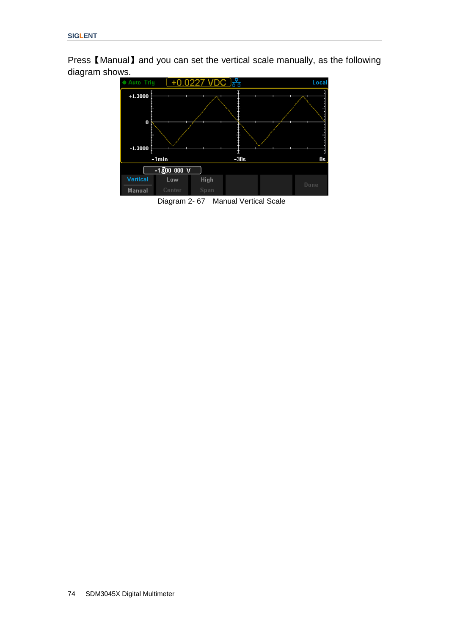Press【Manual】and you can set the vertical scale manually, as the following diagram shows.



Diagram 2- 67 Manual Vertical Scale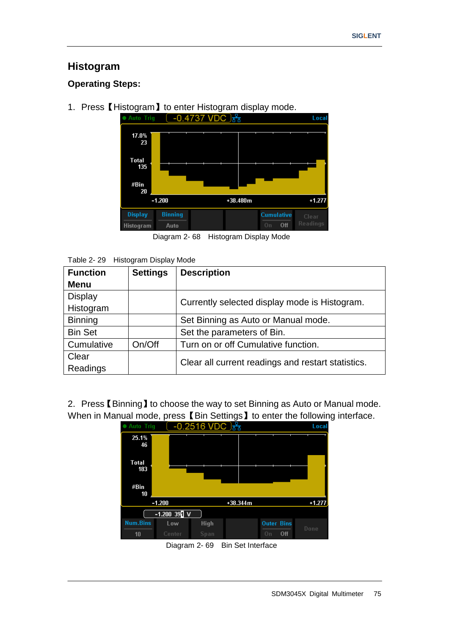### **Histogram**

### **Operating Steps:**

1. Press [Histogram ] to enter Histogram display mode.<br>  $\bullet$  Auto Trig  $\left(-0.4737 \sqrt{DC}\right) \frac{P}{b^2}$ 



Diagram 2- 68 Histogram Display Mode

| Table 2-29 Histogram Display Mode |
|-----------------------------------|
|                                   |

| $10000 \le 20$ $1000000$ |                 |                                                    |  |  |  |
|--------------------------|-----------------|----------------------------------------------------|--|--|--|
| <b>Function</b>          | <b>Settings</b> | <b>Description</b>                                 |  |  |  |
| <b>Menu</b>              |                 |                                                    |  |  |  |
| <b>Display</b>           |                 |                                                    |  |  |  |
| Histogram                |                 | Currently selected display mode is Histogram.      |  |  |  |
| <b>Binning</b>           |                 | Set Binning as Auto or Manual mode.                |  |  |  |
| <b>Bin Set</b>           |                 | Set the parameters of Bin.                         |  |  |  |
| Cumulative               | On/Off          | Turn on or off Cumulative function.                |  |  |  |
| Clear                    |                 | Clear all current readings and restart statistics. |  |  |  |
| Readings                 |                 |                                                    |  |  |  |

2. Press【Binning】to choose the way to set Binning as Auto or Manual mode. When in Manual mode, press 【Bin Settings】to enter the following interface.



Diagram 2- 69 Bin Set Interface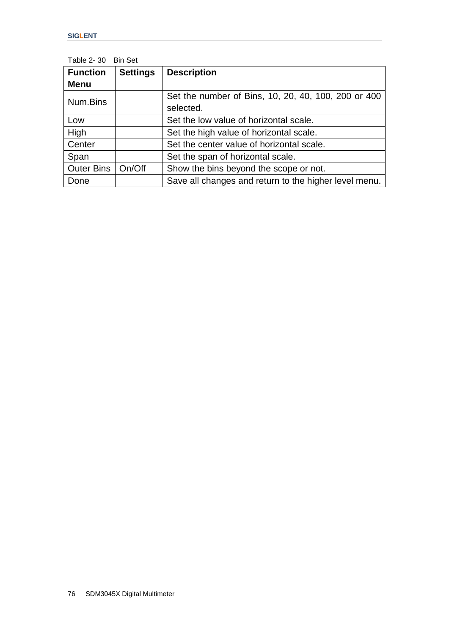| LAUIU 2- JU       | <b>DILOSI</b>   |                                                       |
|-------------------|-----------------|-------------------------------------------------------|
| <b>Function</b>   | <b>Settings</b> | <b>Description</b>                                    |
| <b>Menu</b>       |                 |                                                       |
| Num.Bins          |                 | Set the number of Bins, 10, 20, 40, 100, 200 or 400   |
|                   |                 | selected.                                             |
| Low               |                 | Set the low value of horizontal scale.                |
| High              |                 | Set the high value of horizontal scale.               |
| Center            |                 | Set the center value of horizontal scale.             |
| Span              |                 | Set the span of horizontal scale.                     |
| <b>Outer Bins</b> | On/Off          | Show the bins beyond the scope or not.                |
| Done              |                 | Save all changes and return to the higher level menu. |

Table 2- 30 Bin Set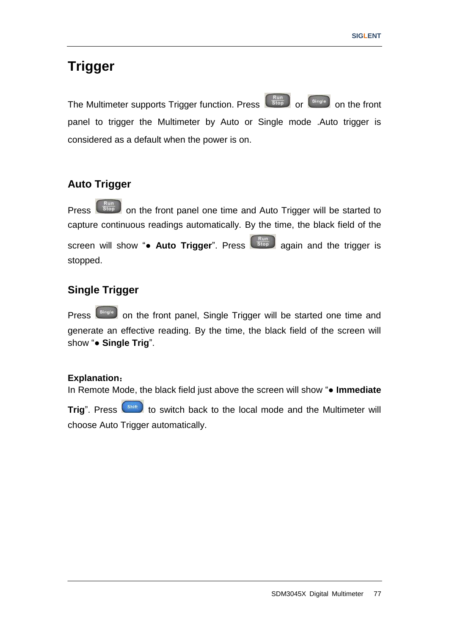# **Trigger**

The Multimeter supports Trigger function. Press  $\left(\begin{array}{cc} R_{\text{top}} \\ \text{Stop} \end{array}\right)$  on the front panel to trigger the Multimeter by Auto or Single mode .Auto trigger is considered as a default when the power is on.

### **Auto Trigger**

Press  $\begin{bmatrix} 1 & 0 \\ 0 & \end{bmatrix}$  on the front panel one time and Auto Trigger will be started to capture continuous readings automatically. By the time, the black field of the screen will show "• Auto Trigger". Press state again and the trigger is stopped.

### **Single Trigger**

Press  $\left[\right.$ <sup>Single</sup> on the front panel, Single Trigger will be started one time and generate an effective reading. By the time, the black field of the screen will show "**● Single Trig**".

#### **Explanation**:

In Remote Mode, the black field just above the screen will show "**● Immediate Trig**". Press  $\left($ <sup>shift</sup> to switch back to the local mode and the Multimeter will choose Auto Trigger automatically.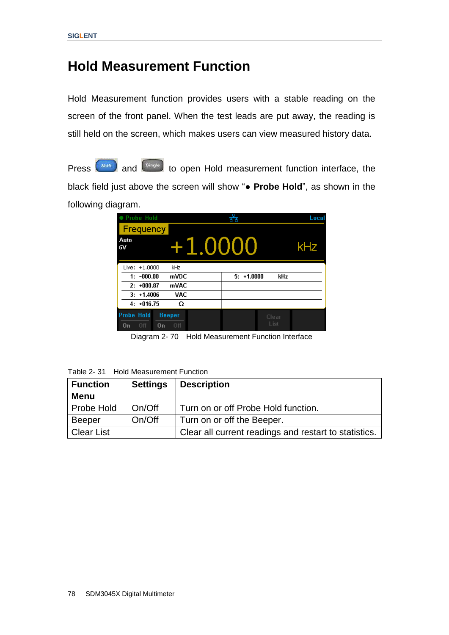## **Hold Measurement Function**

Hold Measurement function provides users with a stable reading on the screen of the front panel. When the test leads are put away, the reading is still held on the screen, which makes users can view measured history data.

Press  $\left($ <sup>Shift</sup> and  $\left($ <sup>Single</sup> to open Hold measurement function interface, the black field just above the screen will show "**● Probe Hold**", as shown in the following diagram.

| ● Probe Hold                         |                      |                     | Local |
|--------------------------------------|----------------------|---------------------|-------|
| Frequency                            |                      |                     |       |
| Auto<br>6V                           | +1.0000              | kHz                 |       |
| Live: +1,0000                        | kHz                  |                     |       |
| $1: -000.00$                         | mVDC                 | $5: +1.0000$<br>kHz |       |
| $2: +000.87$                         | mVAC                 |                     |       |
| $3: +1.4006$                         | <b>VAC</b>           |                     |       |
| $4: +016.75$                         | Ω                    |                     |       |
| <b>Probe Hold</b><br>Off<br>0n<br>0n | <b>Beeper</b><br>Off | Clear<br>List       |       |

Diagram 2- 70 Hold Measurement Function Interface

Table 2- 31 Hold Measurement Function

| <b>Function</b> | <b>Settings</b> | <b>Description</b>                                    |
|-----------------|-----------------|-------------------------------------------------------|
| <b>Menu</b>     |                 |                                                       |
| Probe Hold      | On/Off          | Turn on or off Probe Hold function.                   |
| Beeper          | On/Off          | Turn on or off the Beeper.                            |
| Clear List      |                 | Clear all current readings and restart to statistics. |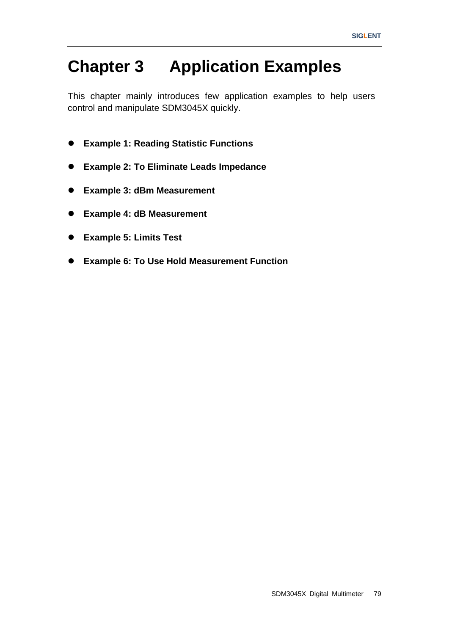# **Chapter 3 Application Examples**

This chapter mainly introduces few application examples to help users control and manipulate SDM3045X quickly.

- **Example 1: Reading Statistic Functions**
- **Example 2: To Eliminate Leads Impedance**
- **Example 3: dBm Measurement**
- **Example 4: dB Measurement**
- **Example 5: Limits Test**
- **Example 6: To Use Hold Measurement Function**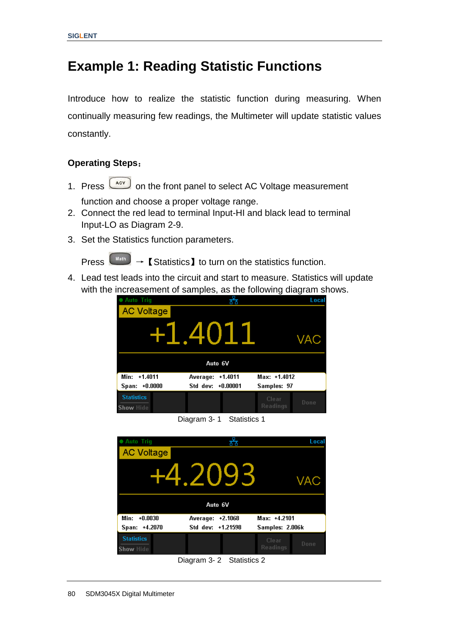# **Example 1: Reading Statistic Functions**

Introduce how to realize the statistic function during measuring. When continually measuring few readings, the Multimeter will update statistic values constantly.

#### **Operating Steps**:

- 1. Press  $\boxed{\phantom{0}\text{acc}}$  on the front panel to select AC Voltage measurement function and choose a proper voltage range.
- 2. Connect the red lead to terminal Input-HI and black lead to terminal Input-LO as Diagram 2-9.
- 3. Set the Statistics function parameters.

Press  $\begin{bmatrix} \downarrow^{\text{Math}} \end{bmatrix}$   $\rightarrow$  **[** Statistics **]** to turn on the statistics function.

4. Lead test leads into the circuit and start to measure. Statistics will update with the increasement of samples, as the following diagram shows.

| <b>Auto Trig</b>               |                   |           |                   | Local |
|--------------------------------|-------------------|-----------|-------------------|-------|
| <b>AC Voltage</b>              |                   |           |                   |       |
|                                | +1.4011           |           |                   | VAC   |
|                                | Auto 6V           |           |                   |       |
| Min:<br>$+1.4011$              | Average:          | $+1.4011$ | $Max: +1.4012$    |       |
| Span: +0.0000                  | Std dev: +0.00001 |           | Samples: 97       |       |
| <b>Statistics</b><br>Show Hide |                   |           | Clear<br>Readings | Done  |

Diagram 3- 1 Statistics 1



Diagram 3- 2 Statistics 2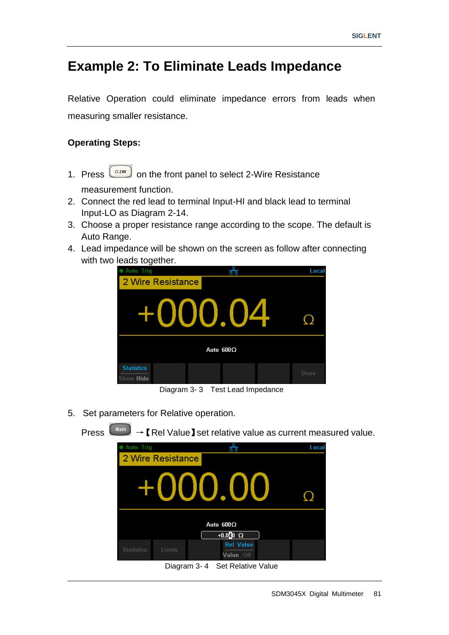# **Example 2: To Eliminate Leads Impedance**

Relative Operation could eliminate impedance errors from leads when measuring smaller resistance.

### **Operating Steps:**

1. Press  $\boxed{\frac{\Omega^{2W}}{2W}}$  on the front panel to select 2-Wire Resistance

measurement function.

- 2. Connect the red lead to terminal Input-HI and black lead to terminal Input-LO as Diagram 2-14.
- 3. Choose a proper resistance range according to the scope. The default is Auto Range.
- 4. Lead impedance will be shown on the screen as follow after connecting with two leads together.



Diagram 3- 3 Test Lead Impedance

5. Set parameters for Relative operation.

Press  $\downarrow^{\text{Math}}$   $\rightarrow$  [Rel Value ] set relative value as current measured value. ਨੱਤ Local 2 Wire Resistance O Auto  $600\Omega$  $+0.0$ <sup>1</sup>0  $\Omega$ **Rel Value** Value Off Diagram 3- 4 Set Relative Value

SDM3045X Digital Multimeter 81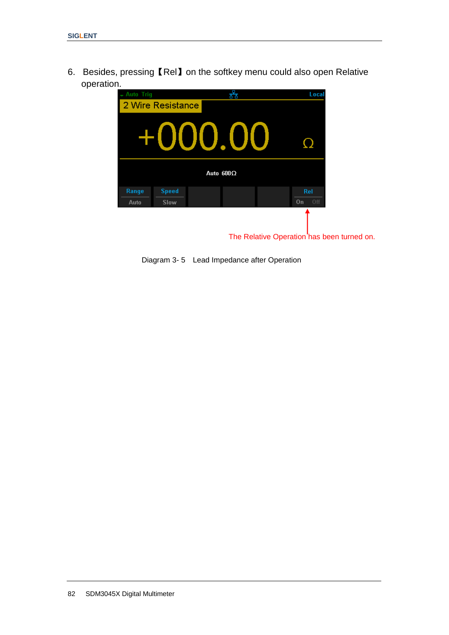6. Besides, pressing【Rel】on the softkey menu could also open Relative operation.

| - Auto Triq   |                             |                  | 来 | Local            |                                            |
|---------------|-----------------------------|------------------|---|------------------|--------------------------------------------|
|               | 2 Wire Resistance           |                  |   |                  |                                            |
|               |                             | +000.00          |   |                  |                                            |
|               |                             | Auto $600\Omega$ |   |                  |                                            |
| Range<br>Auto | <b>Speed</b><br><b>Slow</b> |                  |   | Rel<br>0ff<br>0n |                                            |
|               |                             |                  |   |                  | The Relative Operation has been turned on. |

Diagram 3- 5 Lead Impedance after Operation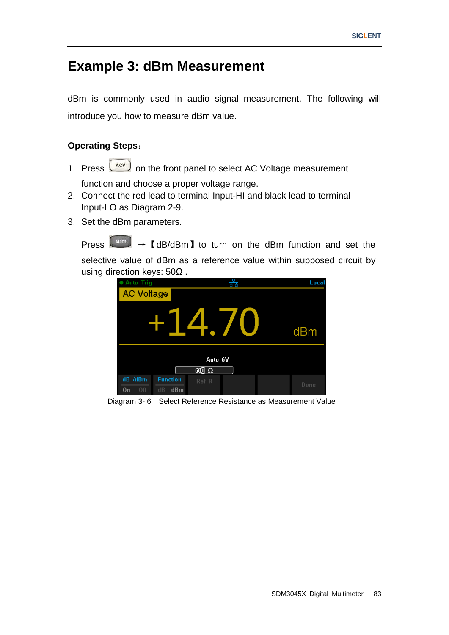# **Example 3: dBm Measurement**

dBm is commonly used in audio signal measurement. The following will introduce you how to measure dBm value.

### **Operating Steps**:

1. Press  $\boxed{\phantom{0}\text{acc}}$  on the front panel to select AC Voltage measurement

function and choose a proper voltage range.

- 2. Connect the red lead to terminal Input-HI and black lead to terminal Input-LO as Diagram 2-9.
- 3. Set the dBm parameters.

Press  $\begin{bmatrix} \text{Math} \end{bmatrix}$   $\rightarrow$   $\blacksquare$  dB/dBm  $\blacksquare$  to turn on the dBm function and set the selective value of dBm as a reference value within supposed circuit by using direction keys: 50Ω .

| <b>Auto Trig</b>     |                              |                         | òй | Local |
|----------------------|------------------------------|-------------------------|----|-------|
| <b>AC Voltage</b>    |                              |                         |    |       |
|                      |                              |                         |    | dBm   |
|                      |                              | Auto 6V<br>$60\sqrt{2}$ |    |       |
| dB /dBm<br>Off<br>0n | <b>Function</b><br>dBm<br>dB | Ref R                   |    | Done  |

Diagram 3- 6 Select Reference Resistance as Measurement Value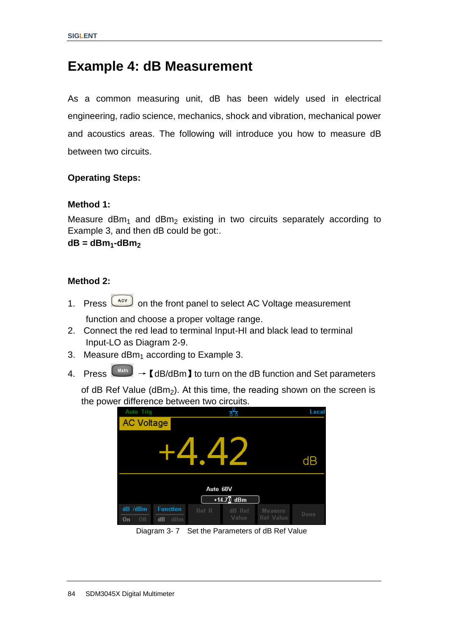### **Example 4: dB Measurement**

As a common measuring unit, dB has been widely used in electrical engineering, radio science, mechanics, shock and vibration, mechanical power and acoustics areas. The following will introduce you how to measure dB between two circuits.

#### **Operating Steps:**

#### **Method 1:**

Measure  $dBm_1$  and  $dBm_2$  existing in two circuits separately according to Example 3, and then dB could be got:.

**dB = dBm1-dBm<sup>2</sup>**

#### **Method 2:**

- 1. Press  $\boxed{\phantom{0}\text{acv}}$  on the front panel to select AC Voltage measurement function and choose a proper voltage range.
- 2. Connect the red lead to terminal Input-HI and black lead to terminal Input-LO as Diagram 2-9.
- 3. Measure dBm<sub>1</sub> according to Example 3.
- 4. Press  $\begin{bmatrix} \text{Math} \\ \text{Math} \end{bmatrix}$   $\rightarrow$  [dB/dBm] to turn on the dB function and Set parameters

of dB Ref Value (dBm<sub>2</sub>). At this time, the reading shown on the screen is the power difference between two circuits.

| <b>Auto Trig</b>     |                              | ਨੌਰ                                                     | Local |
|----------------------|------------------------------|---------------------------------------------------------|-------|
| AC Voltage           |                              |                                                         |       |
|                      |                              | $\boldsymbol{\varDelta}$<br>$\overline{\phantom{a}}$    | dB    |
|                      |                              | Auto 60V<br>+14.7 $\sqrt{2}$ dBm                        |       |
| dB /dBm<br>Off<br>On | <b>Function</b><br>dBm<br>dB | Ref R<br>dB Ref<br><b>Measure</b><br>Value<br>Ref Value | Done  |
|                      | Diaram 2, 7                  | Set the Deremeters of dD Def Velue                      |       |

Diagram 3- 7 Set the Parameters of dB Ref Value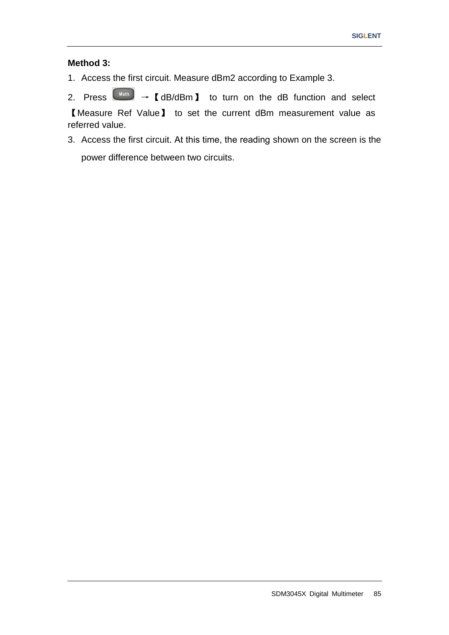### **Method 3:**

1. Access the first circuit. Measure dBm2 according to Example 3.

2. Press  $\boxed{\tiny{\begin{array}{c} \mathsf{Math} \end{array}}} \rightarrow \mathsf{I}$  dB/dBm  $\mathsf{I}$  to turn on the dB function and select 【Measure Ref Value】 to set the current dBm measurement value as referred value.

3. Access the first circuit. At this time, the reading shown on the screen is the power difference between two circuits.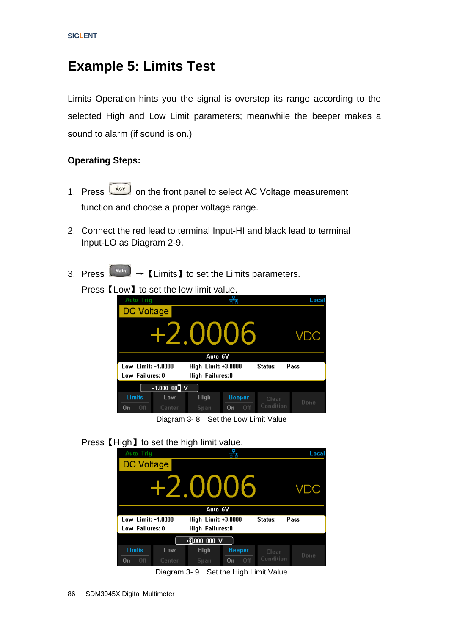# **Example 5: Limits Test**

Limits Operation hints you the signal is overstep its range according to the selected High and Low Limit parameters; meanwhile the beeper makes a sound to alarm (if sound is on.)

### **Operating Steps:**

- 1. Press  $\begin{bmatrix} \Delta CV \end{bmatrix}$  on the front panel to select AC Voltage measurement function and choose a proper voltage range.
- 2. Connect the red lead to terminal Input-HI and black lead to terminal Input-LO as Diagram 2-9.
- 3. Press  $\boxed{\phantom{a}^{\text{Math}}}$   $\rightarrow$   $\boxed{\text{Limits}}$  to set the Limits parameters.
	- Press **[Low]** to set the low limit value.

| <b>Auto Trig</b>                                             |        |             |               |           | Local |
|--------------------------------------------------------------|--------|-------------|---------------|-----------|-------|
| DC Voltage                                                   |        |             |               |           |       |
| +2.0006<br>VDC                                               |        |             |               |           |       |
| Auto 6V                                                      |        |             |               |           |       |
| Low Limit: -1.0000<br>High Limit: +3.0000<br>Status:<br>Pass |        |             |               |           |       |
| Low Failures: 0<br>High Failures:0                           |        |             |               |           |       |
| $-1.000$ $00$ ] V                                            |        |             |               |           |       |
| Limits                                                       | Low    | <b>High</b> | <b>Beeper</b> | Clear     |       |
| 0ff<br>On                                                    | Center | Span        | Off<br>0n     | Condition | Done  |

Diagram 3- 8 Set the Low Limit Value

Press **[High]** to set the high limit value.

| ັ<br><b>Auto Trig</b> |                      | ັ                   |                          |           | Local |
|-----------------------|----------------------|---------------------|--------------------------|-----------|-------|
| DC Voltage            |                      |                     |                          |           |       |
| +2.0006<br>VDC        |                      |                     |                          |           |       |
| Auto 6V               |                      |                     |                          |           |       |
| Low Limit: -1.0000    |                      | High Limit: +3.0000 |                          | Status:   | Pass  |
| Low Failures: 0       |                      | High Failures: 0    |                          |           |       |
|                       |                      | +3.000 000 V        |                          |           |       |
| Limits                | Low                  | <b>High</b>         | <b>Beeper</b>            | Clear     | Done  |
| 0ff<br>On             | Center               | Span                | Off<br>0n                | Condition |       |
|                       | $Diaram$ 2. $\Omega$ |                     | Sot the High Limit Value |           |       |

Diagram 3- 9 Set the High Limit Value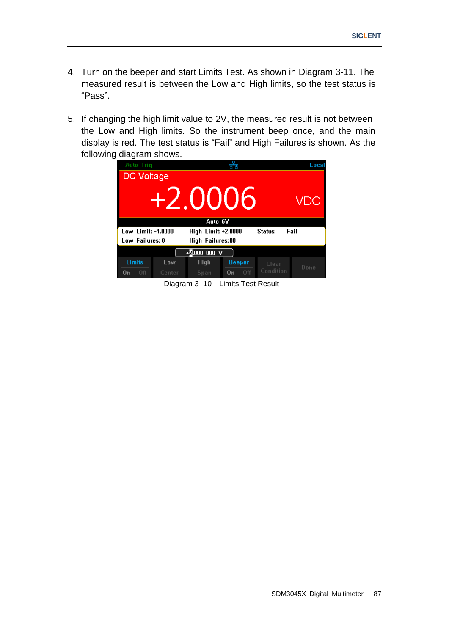- 4. Turn on the beeper and start Limits Test. As shown in Diagram 3-11. The measured result is between the Low and High limits, so the test status is "Pass".
- 5. If changing the high limit value to 2V, the measured result is not between the Low and High limits. So the instrument beep once, and the main display is red. The test status is "Fail" and High Failures is shown. As the following diagram shows.



Diagram 3- 10 Limits Test Result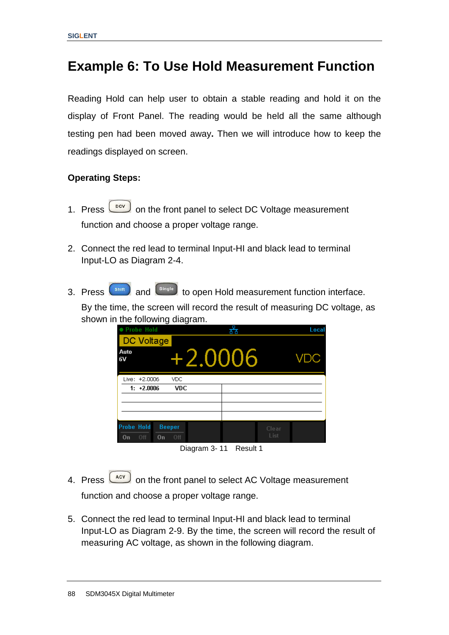# **Example 6: To Use Hold Measurement Function**

Reading Hold can help user to obtain a stable reading and hold it on the display of Front Panel. The reading would be held all the same although testing pen had been moved away**.** Then we will introduce how to keep the readings displayed on screen.

### **Operating Steps:**

- 1. Press  $\Box$  on the front panel to select DC Voltage measurement function and choose a proper voltage range.
- 2. Connect the red lead to terminal Input-HI and black lead to terminal Input-LO as Diagram 2-4.
- 3. Press  $\left( \frac{shift}{shift} \right)$  and  $\left( \frac{single}{time} \right)$  to open Hold measurement function interface. By the time, the screen will record the result of measuring DC voltage, as

shown in the following diagram.

| ● Probe Hold                                          |            | 볾 |               | Local      |
|-------------------------------------------------------|------------|---|---------------|------------|
| DC Voltage                                            |            |   |               |            |
| Auto<br>6V                                            | +2.0006    |   |               | <b>VDC</b> |
| Live: +2,0006                                         | <b>VDC</b> |   |               |            |
| $1: +2.0006$                                          | <b>VDC</b> |   |               |            |
|                                                       |            |   |               |            |
|                                                       |            |   |               |            |
|                                                       |            |   |               |            |
| <b>Probe Hold</b><br><b>Beeper</b><br>Off<br>On<br>On | Off        |   | Clear<br>List |            |



- 4. Press  $\begin{bmatrix} \frac{ACV}{ACV} \end{bmatrix}$  on the front panel to select AC Voltage measurement function and choose a proper voltage range.
- 5. Connect the red lead to terminal Input-HI and black lead to terminal Input-LO as Diagram 2-9. By the time, the screen will record the result of measuring AC voltage, as shown in the following diagram.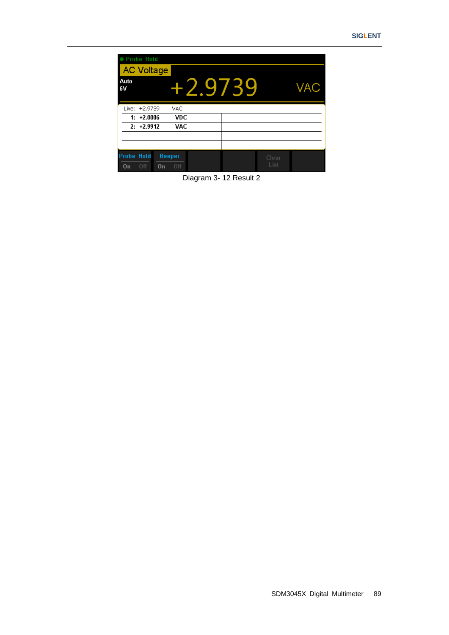| ● Probe Hold<br><b>AC Voltage</b>                |                      |         |               |     |
|--------------------------------------------------|----------------------|---------|---------------|-----|
| Auto<br>6V                                       |                      | +2.9739 |               | VAC |
| Live: +2,9739                                    | <b>VAC</b>           |         |               |     |
| $1: +2.0006$                                     | <b>VDC</b>           |         |               |     |
| $2: +2.9912$                                     | <b>VAC</b>           |         |               |     |
|                                                  |                      |         |               |     |
|                                                  |                      |         |               |     |
| <b>Probe Hold</b><br>Off<br>0 <sub>n</sub><br>0n | <b>Beeper</b><br>Off |         | Clear<br>List |     |

Diagram 3- 12 Result 2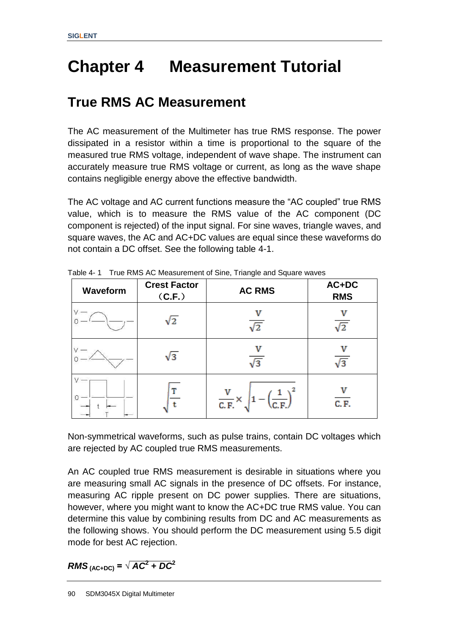# **Chapter 4 Measurement Tutorial**

# **True RMS AC Measurement**

The AC measurement of the Multimeter has true RMS response. The power dissipated in a resistor within a time is proportional to the square of the measured true RMS voltage, independent of wave shape. The instrument can accurately measure true RMS voltage or current, as long as the wave shape contains negligible energy above the effective bandwidth.

The AC voltage and AC current functions measure the "AC coupled" true RMS value, which is to measure the RMS value of the AC component (DC component is rejected) of the input signal. For sine waves, triangle waves, and square waves, the AC and AC+DC values are equal since these waveforms do not contain a DC offset. See the following table 4-1.

| Waveform | <b>Crest Factor</b><br>(C.F.) | <b>AC RMS</b>                                | AC+DC<br><b>RMS</b> |
|----------|-------------------------------|----------------------------------------------|---------------------|
|          | $\sqrt{2}$                    | /2                                           | /2                  |
|          | $\sqrt{3}$                    | $\sqrt{3}$                                   | v<br>$\sqrt{3}$     |
|          | т                             | $\overline{\mathsf{C.F.}}^{\times}$<br>C.F., | C. F.               |

Table 4- 1 True RMS AC Measurement of Sine, Triangle and Square waves

Non-symmetrical waveforms, such as pulse trains, contain DC voltages which are rejected by AC coupled true RMS measurements.

An AC coupled true RMS measurement is desirable in situations where you are measuring small AC signals in the presence of DC offsets. For instance, measuring AC ripple present on DC power supplies. There are situations, however, where you might want to know the AC+DC true RMS value. You can determine this value by combining results from DC and AC measurements as the following shows. You should perform the DC measurement using 5.5 digit mode for best AC rejection.

 $RMS$ <sub>(AC+DC)</sub> =  $\sqrt{AC^2 + DC^2}$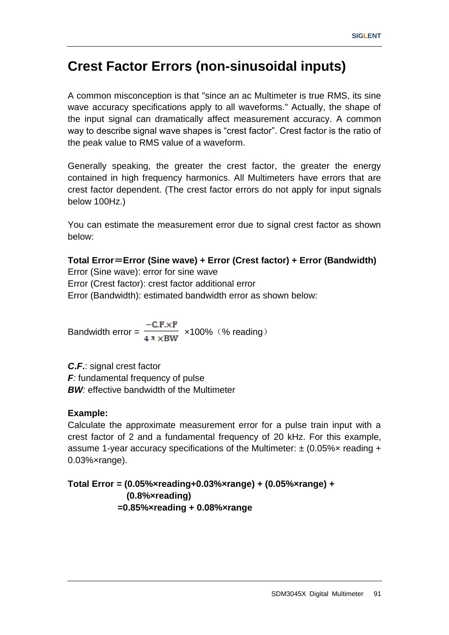# **Crest Factor Errors (non-sinusoidal inputs)**

A common misconception is that "since an ac Multimeter is true RMS, its sine wave accuracy specifications apply to all waveforms." Actually, the shape of the input signal can dramatically affect measurement accuracy. A common way to describe signal wave shapes is "crest factor". Crest factor is the ratio of the peak value to RMS value of a waveform.

Generally speaking, the greater the crest factor, the greater the energy contained in high frequency harmonics. All Multimeters have errors that are crest factor dependent. (The crest factor errors do not apply for input signals below 100Hz.)

You can estimate the measurement error due to signal crest factor as shown below:

### **Total Error**=**Error (Sine wave) + Error (Crest factor) + Error (Bandwidth)**

Error (Sine wave): error for sine wave Error (Crest factor): crest factor additional error Error (Bandwidth): estimated bandwidth error as shown below:

Bandwidth error =  $\frac{-C.F.xF}{4 \pi \times BW}$  ×100% (% reading)

*C***.***F***.**: signal crest factor *F:* fundamental frequency of pulse *BW:* effective bandwidth of the Multimeter

#### **Example:**

Calculate the approximate measurement error for a pulse train input with a crest factor of 2 and a fundamental frequency of 20 kHz. For this example, assume 1-year accuracy specifications of the Multimeter:  $\pm$  (0.05% $\times$  reading + 0.03%×range).

**Total Error = (0.05%×reading+0.03%×range) + (0.05%×range) + (0.8%×reading) =0.85%×reading + 0.08%×range**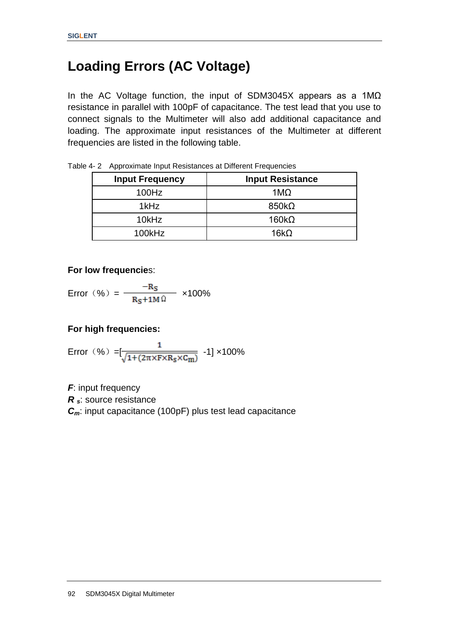# **Loading Errors (AC Voltage)**

In the AC Voltage function, the input of SDM3045X appears as a 1MΩ resistance in parallel with 100pF of capacitance. The test lead that you use to connect signals to the Multimeter will also add additional capacitance and loading. The approximate input resistances of the Multimeter at different frequencies are listed in the following table.

| <b>Input Frequency</b> | <b>Input Resistance</b> |
|------------------------|-------------------------|
| 100Hz                  | $1\text{M}\Omega$       |
| 1kHz                   | $850k\Omega$            |
| 10kHz                  | 160 $k\Omega$           |
| 100kHz                 | 16kO                    |

Table 4- 2 Approximate Input Resistances at Different Frequencies

#### **For low frequencie**s:

$$
Error (%) = \frac{-R_S}{R_S + 1M\Omega} \times 100\%
$$

### **For high frequencies:**

Error (
$$
\% = \frac{1}{\sqrt{1 + (2\pi \times F \times R_S \times C_m)}}
$$
 -1] x100%

*F*: input frequency *R <sup>s</sup>*: source resistance *Cm*: input capacitance (100pF) plus test lead capacitance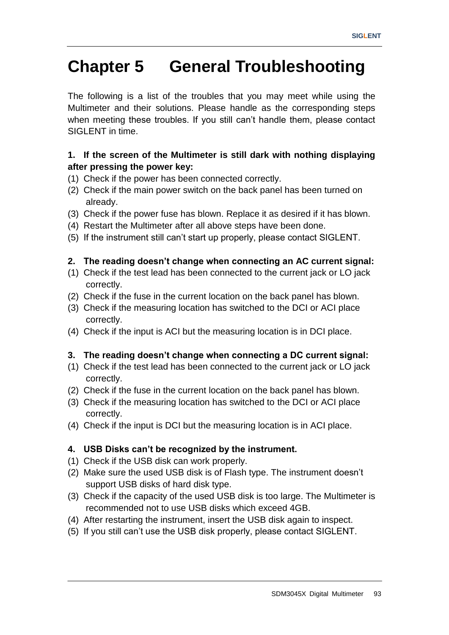# **Chapter 5 General Troubleshooting**

The following is a list of the troubles that you may meet while using the Multimeter and their solutions. Please handle as the corresponding steps when meeting these troubles. If you still can't handle them, please contact SIGLENT in time.

### **1. If the screen of the Multimeter is still dark with nothing displaying after pressing the power key:**

- (1) Check if the power has been connected correctly.
- (2) Check if the main power switch on the back panel has been turned on already.
- (3) Check if the power fuse has blown. Replace it as desired if it has blown.
- (4) Restart the Multimeter after all above steps have been done.
- (5) If the instrument still can"t start up properly, please contact SIGLENT.

### **2. The reading doesn't change when connecting an AC current signal:**

- (1) Check if the test lead has been connected to the current jack or LO jack correctly.
- (2) Check if the fuse in the current location on the back panel has blown.
- (3) Check if the measuring location has switched to the DCI or ACI place correctly.
- (4) Check if the input is ACI but the measuring location is in DCI place.

### **3. The reading doesn't change when connecting a DC current signal:**

- (1) Check if the test lead has been connected to the current jack or LO jack correctly.
- (2) Check if the fuse in the current location on the back panel has blown.
- (3) Check if the measuring location has switched to the DCI or ACI place correctly.
- (4) Check if the input is DCI but the measuring location is in ACI place.

### **4. USB Disks can't be recognized by the instrument.**

- (1) Check if the USB disk can work properly.
- (2) Make sure the used USB disk is of Flash type. The instrument doesn"t support USB disks of hard disk type.
- (3) Check if the capacity of the used USB disk is too large. The Multimeter is recommended not to use USB disks which exceed 4GB.
- (4) After restarting the instrument, insert the USB disk again to inspect.
- (5) If you still can"t use the USB disk properly, please contact SIGLENT.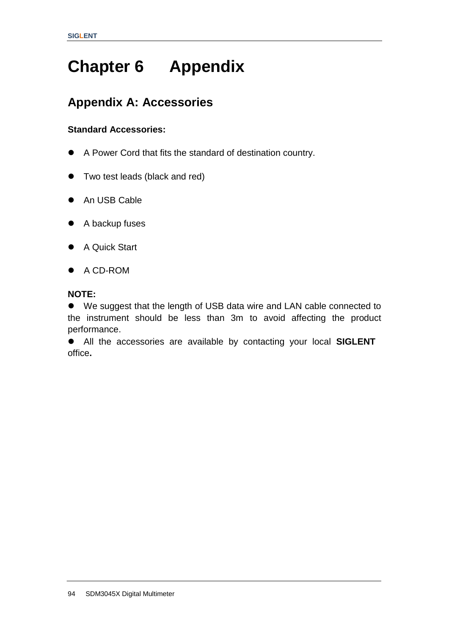# **Chapter 6 Appendix**

## **Appendix A: Accessories**

### **Standard Accessories:**

- A Power Cord that fits the standard of destination country.
- Two test leads (black and red)
- An USB Cable
- A backup fuses
- A Quick Start
- A CD-ROM

### **NOTE:**

 We suggest that the length of USB data wire and LAN cable connected to the instrument should be less than 3m to avoid affecting the product performance.

 All the accessories are available by contacting your local **SIGLENT** office**.**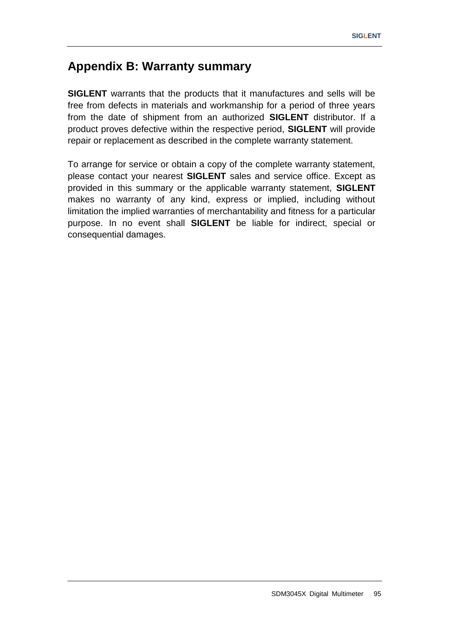### **Appendix B: Warranty summary**

**SIGLENT** warrants that the products that it manufactures and sells will be free from defects in materials and workmanship for a period of three years from the date of shipment from an authorized **SIGLENT** distributor. If a product proves defective within the respective period, **SIGLENT** will provide repair or replacement as described in the complete warranty statement.

To arrange for service or obtain a copy of the complete warranty statement, please contact your nearest **SIGLENT** sales and service office. Except as provided in this summary or the applicable warranty statement, **SIGLENT** makes no warranty of any kind, express or implied, including without limitation the implied warranties of merchantability and fitness for a particular purpose. In no event shall **SIGLENT** be liable for indirect, special or consequential damages.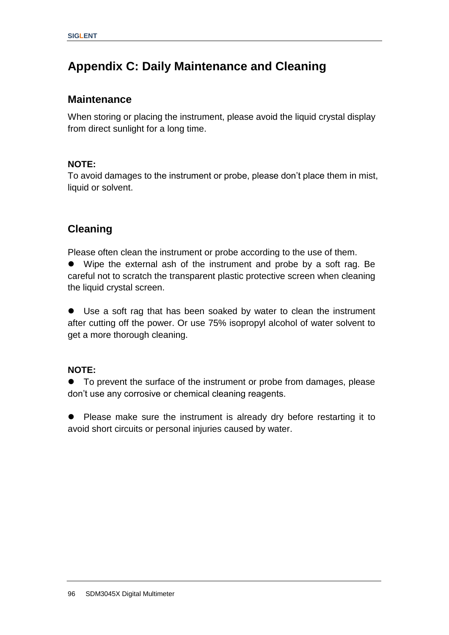## **Appendix C: Daily Maintenance and Cleaning**

### **Maintenance**

When storing or placing the instrument, please avoid the liquid crystal display from direct sunlight for a long time.

#### **NOTE:**

To avoid damages to the instrument or probe, please don"t place them in mist, liquid or solvent.

### **Cleaning**

Please often clean the instrument or probe according to the use of them.

 Wipe the external ash of the instrument and probe by a soft rag. Be careful not to scratch the transparent plastic protective screen when cleaning the liquid crystal screen.

 Use a soft rag that has been soaked by water to clean the instrument after cutting off the power. Or use 75% isopropyl alcohol of water solvent to get a more thorough cleaning.

#### **NOTE:**

 To prevent the surface of the instrument or probe from damages, please don"t use any corrosive or chemical cleaning reagents.

• Please make sure the instrument is already dry before restarting it to avoid short circuits or personal injuries caused by water.